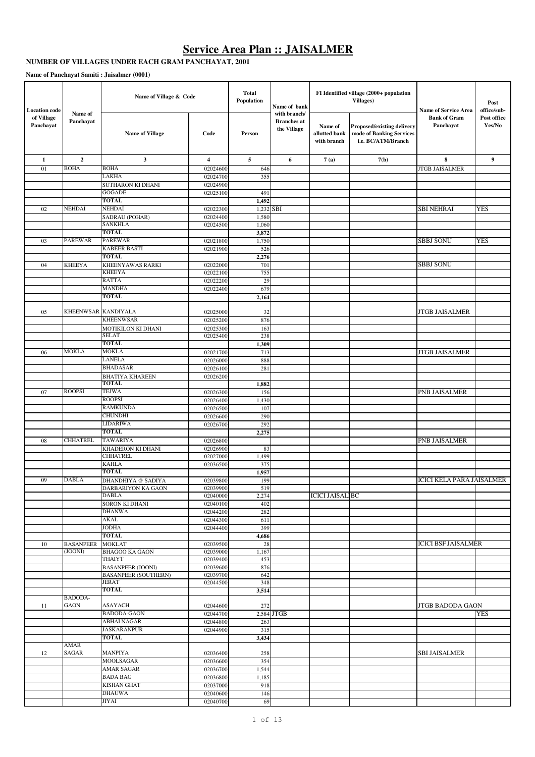# **Service Area Plan :: JAISALMER**

### **NUMBER OF VILLAGES UNDER EACH GRAM PANCHAYAT, 2001**

**Name of Panchayat Samiti : Jaisalmer (0001)**

| <b>Location</b> code    | Name of Village & Code<br>Name of |                                      | <b>Total</b><br>Population |              | Name of bank                                      | FI Identified village (2000+ population<br>Villages) | <b>Name of Service Area</b>                                                  | Post<br>office/sub-              |                       |
|-------------------------|-----------------------------------|--------------------------------------|----------------------------|--------------|---------------------------------------------------|------------------------------------------------------|------------------------------------------------------------------------------|----------------------------------|-----------------------|
| of Village<br>Panchayat | Panchayat                         | <b>Name of Village</b>               | Code                       | Person       | with branch/<br><b>Branches</b> at<br>the Village | Name of<br>allotted bank<br>with branch              | Proposed/existing delivery<br>mode of Banking Services<br>i.e. BC/ATM/Branch | <b>Bank of Gram</b><br>Panchayat | Post office<br>Yes/No |
| 1                       | $\mathbf{2}$                      | 3                                    | $\overline{\mathbf{4}}$    | 5            | 6                                                 | 7(a)                                                 | 7(b)                                                                         | 8                                | 9                     |
| 01                      | <b>BOHA</b>                       | <b>BOHA</b>                          | 02024600                   | 646          |                                                   |                                                      |                                                                              | JTGB JAISALMER                   |                       |
|                         |                                   | LAKHA                                | 02024700                   | 355          |                                                   |                                                      |                                                                              |                                  |                       |
|                         |                                   | SUTHARON KI DHANI                    | 02024900                   |              |                                                   |                                                      |                                                                              |                                  |                       |
|                         |                                   | <b>GOGADE</b>                        | 02025100                   | 491          |                                                   |                                                      |                                                                              |                                  |                       |
|                         |                                   | <b>TOTAL</b><br><b>NEHDAI</b>        |                            | 1,492        |                                                   |                                                      |                                                                              |                                  |                       |
| 02                      | <b>NEHDAI</b>                     | SADRAU (POHAR)                       | 02022300<br>02024400       | 1,580        | $1,232$ SBI                                       |                                                      |                                                                              | SBI NEHRAI                       | <b>YES</b>            |
|                         |                                   | <b>SANKHLA</b>                       | 02024500                   | 1,060        |                                                   |                                                      |                                                                              |                                  |                       |
|                         |                                   | TOTAL                                |                            | 3,872        |                                                   |                                                      |                                                                              |                                  |                       |
| 03                      | <b>PAREWAR</b>                    | <b>PAREWAR</b>                       | 02021800                   | 1,750        |                                                   |                                                      |                                                                              | SBBJ SONU                        | YES                   |
|                         |                                   | <b>KABEER BASTI</b>                  | 02021900                   | 526          |                                                   |                                                      |                                                                              |                                  |                       |
|                         |                                   | <b>TOTAL</b>                         |                            | 2,276        |                                                   |                                                      |                                                                              |                                  |                       |
| 04                      | <b>KHEEYA</b>                     | KHEENYAWAS RARKI<br><b>KHEEYA</b>    | 02022000                   | 701          |                                                   |                                                      |                                                                              | SBBJ SONU                        |                       |
|                         |                                   | <b>RATTA</b>                         | 02022100<br>02022200       | 755<br>29    |                                                   |                                                      |                                                                              |                                  |                       |
|                         |                                   | <b>MANDHA</b>                        | 02022400                   | 679          |                                                   |                                                      |                                                                              |                                  |                       |
|                         |                                   | <b>TOTAL</b>                         |                            | 2,164        |                                                   |                                                      |                                                                              |                                  |                       |
|                         |                                   |                                      |                            |              |                                                   |                                                      |                                                                              |                                  |                       |
| 05                      | KHEENWSAR KANDIYALA               |                                      | 02025000                   | 32           |                                                   |                                                      |                                                                              | JTGB JAISALMER                   |                       |
|                         |                                   | <b>KHEENWSAR</b>                     | 02025200                   | 876          |                                                   |                                                      |                                                                              |                                  |                       |
|                         |                                   | MOTIKILON KI DHANI<br><b>SELAT</b>   | 02025300<br>02025400       | 163<br>238   |                                                   |                                                      |                                                                              |                                  |                       |
|                         |                                   | <b>TOTAL</b>                         |                            | 1,309        |                                                   |                                                      |                                                                              |                                  |                       |
| 06                      | <b>MOKLA</b>                      | <b>MOKLA</b>                         | 02021700                   | 713          |                                                   |                                                      |                                                                              | JTGB JAISALMER                   |                       |
|                         |                                   | <b>LANELA</b>                        | 02026000                   | 888          |                                                   |                                                      |                                                                              |                                  |                       |
|                         |                                   | <b>BHADASAR</b>                      | 02026100                   | 281          |                                                   |                                                      |                                                                              |                                  |                       |
|                         |                                   | <b>BHATIYA KHAREEN</b>               | 02026200                   |              |                                                   |                                                      |                                                                              |                                  |                       |
| 07                      | <b>ROOPSI</b>                     | <b>TOTAL</b><br>TEJWA                |                            | 1,882        |                                                   |                                                      |                                                                              |                                  |                       |
|                         |                                   | <b>ROOPSI</b>                        | 02026300<br>02026400       | 156<br>1,430 |                                                   |                                                      |                                                                              | PNB JAISALMER                    |                       |
|                         |                                   | <b>RAMKUNDA</b>                      | 02026500                   | 107          |                                                   |                                                      |                                                                              |                                  |                       |
|                         |                                   | <b>CHUNDHI</b>                       | 02026600                   | 290          |                                                   |                                                      |                                                                              |                                  |                       |
|                         |                                   | <b>LIDARIWA</b>                      | 02026700                   | 292          |                                                   |                                                      |                                                                              |                                  |                       |
|                         |                                   | TOTAL                                |                            | 2,275        |                                                   |                                                      |                                                                              |                                  |                       |
| 08                      | CHHATREL                          | <b>TAWARIYA</b>                      | 02026800                   |              |                                                   |                                                      |                                                                              | PNB JAISALMER                    |                       |
|                         |                                   | KHADERON KI DHANI<br><b>CHHATREL</b> | 02026900<br>02027000       | 83<br>1,499  |                                                   |                                                      |                                                                              |                                  |                       |
|                         |                                   | <b>KAHLA</b>                         | 02036500                   | 375          |                                                   |                                                      |                                                                              |                                  |                       |
|                         |                                   | <b>TOTAL</b>                         |                            | 1,957        |                                                   |                                                      |                                                                              |                                  |                       |
| 09                      | DABLA                             | DHANDHIYA @ SADIYA                   | 02039800                   | 199          |                                                   |                                                      |                                                                              | ICICI KELA PARA JAISALMER        |                       |
|                         |                                   | DARBARIYON KA GAON                   | 02039900                   | 519          |                                                   |                                                      |                                                                              |                                  |                       |
|                         |                                   | <b>DABLA</b>                         | 02040000                   | 2,274        |                                                   | <b>ICICI JAISALIBC</b>                               |                                                                              |                                  |                       |
|                         |                                   | SORON KI DHANI<br><b>DHANWA</b>      | 02040100<br>02044200       | 402<br>282   |                                                   |                                                      |                                                                              |                                  |                       |
|                         |                                   | AKAL                                 | 02044300                   | 611          |                                                   |                                                      |                                                                              |                                  |                       |
|                         |                                   | <b>JODHA</b>                         | 02044400                   | 399          |                                                   |                                                      |                                                                              |                                  |                       |
|                         |                                   | <b>TOTAL</b>                         |                            | 4,686        |                                                   |                                                      |                                                                              |                                  |                       |
| 10                      | <b>BASANPEER</b>                  | <b>MOKLAT</b>                        | 02039500                   | 28           |                                                   |                                                      |                                                                              | <b>ICICI BSF JAISALMER</b>       |                       |
|                         | (JOONI)                           | <b>BHAGOO KA GAON</b><br>THAIYT      | 02039000<br>02039400       | 1,167<br>453 |                                                   |                                                      |                                                                              |                                  |                       |
|                         |                                   | <b>BASANPEER (JOONI)</b>             | 02039600                   | 876          |                                                   |                                                      |                                                                              |                                  |                       |
|                         |                                   | <b>BASANPEER (SOUTHERN)</b>          | 02039700                   | 642          |                                                   |                                                      |                                                                              |                                  |                       |
|                         |                                   | JERAT                                | 02044500                   | 348          |                                                   |                                                      |                                                                              |                                  |                       |
|                         |                                   | TOTAL                                |                            | 3,514        |                                                   |                                                      |                                                                              |                                  |                       |
| 11                      | BADODA-<br><b>GAON</b>            | <b>ASAYACH</b>                       | 02044600                   | 272          |                                                   |                                                      |                                                                              | JTGB BADODA GAON                 |                       |
|                         |                                   | <b>BADODA-GAON</b>                   | 02044700                   |              | $2,584$ JTGB                                      |                                                      |                                                                              |                                  | <b>YES</b>            |
|                         |                                   | <b>ABHAI NAGAR</b>                   | 02044800                   | 263          |                                                   |                                                      |                                                                              |                                  |                       |
|                         |                                   | <b>JASKARANPUR</b>                   | 02044900                   | 315          |                                                   |                                                      |                                                                              |                                  |                       |
|                         |                                   | <b>TOTAL</b>                         |                            | 3,434        |                                                   |                                                      |                                                                              |                                  |                       |
| 12                      | AMAR<br>SAGAR                     | <b>MANPIYA</b>                       | 02036400                   | 258          |                                                   |                                                      |                                                                              | SBI JAISALMER                    |                       |
|                         |                                   | MOOLSAGAR                            | 02036600                   | 354          |                                                   |                                                      |                                                                              |                                  |                       |
|                         |                                   | <b>AMAR SAGAR</b><br><b>BADA BAG</b> | 02036700<br>02036800       | 1,544        |                                                   |                                                      |                                                                              |                                  |                       |
|                         |                                   | <b>KISHAN GHAT</b>                   | 02037000                   | 1,185<br>918 |                                                   |                                                      |                                                                              |                                  |                       |
|                         |                                   | <b>DHAUWA</b>                        | 02040600                   | 146          |                                                   |                                                      |                                                                              |                                  |                       |
|                         |                                   | <b>JIYAI</b>                         | 02040700                   | 69           |                                                   |                                                      |                                                                              |                                  |                       |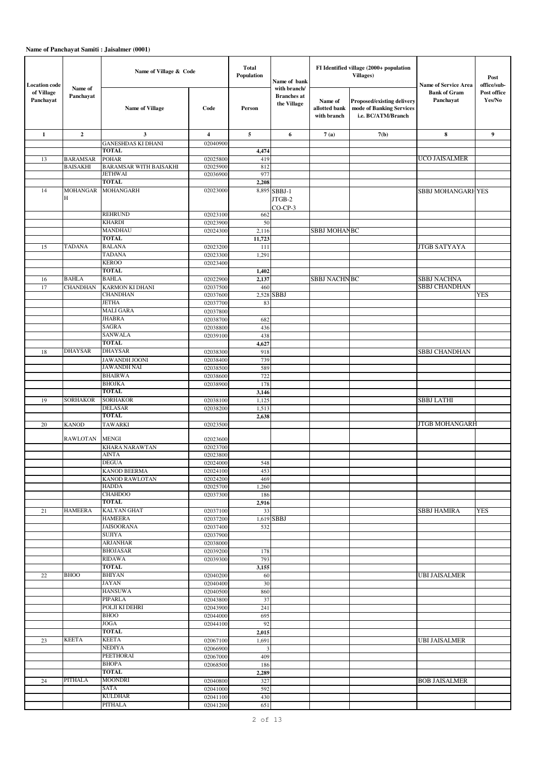| <b>Location</b> code    |                                    | Name of Village & Code                |                         | <b>Total</b><br>Population | Name of bank                                      |                                         | FI Identified village (2000+ population<br>Villages)                         | <b>Name of Service Area</b>                | Post<br>office/sub-   |
|-------------------------|------------------------------------|---------------------------------------|-------------------------|----------------------------|---------------------------------------------------|-----------------------------------------|------------------------------------------------------------------------------|--------------------------------------------|-----------------------|
| of Village<br>Panchayat | Name of<br>Panchayat               | <b>Name of Village</b>                | Code                    | Person                     | with branch/<br><b>Branches</b> at<br>the Village | Name of<br>allotted bank<br>with branch | Proposed/existing delivery<br>mode of Banking Services<br>i.e. BC/ATM/Branch | <b>Bank of Gram</b><br>Panchayat           | Post office<br>Yes/No |
| $\mathbf{1}$            | $\mathbf{2}$                       | $\mathbf{3}$                          | $\overline{\mathbf{4}}$ | 5                          | 6                                                 | 7(a)                                    | 7(b)                                                                         | 8                                          | 9                     |
|                         |                                    | <b>GANESHDAS KI DHANI</b>             | 02040900                |                            |                                                   |                                         |                                                                              |                                            |                       |
| 13                      |                                    | <b>TOTAL</b><br><b>POHAR</b>          | 02025800                | 4,474<br>419               |                                                   |                                         |                                                                              | UCO JAISALMER                              |                       |
|                         | <b>BARAMSAR</b><br><b>BAISAKHI</b> | <b>BARAMSAR WITH BAISAKHI</b>         | 02025900                | 812                        |                                                   |                                         |                                                                              |                                            |                       |
|                         |                                    | <b>JETHWAI</b>                        | 02036900                | 977                        |                                                   |                                         |                                                                              |                                            |                       |
|                         |                                    | <b>TOTAL</b>                          |                         | 2,208                      |                                                   |                                         |                                                                              |                                            |                       |
| 14                      | <b>MOHANGAR</b><br>H               | <b>MOHANGARH</b>                      | 02023000                |                            | 8,895 SBBJ-1<br>JTGB-2<br>$CO-CP-3$               |                                         |                                                                              | <b>SBBJ MOHANGARHYES</b>                   |                       |
|                         |                                    | REHRUND                               | 02023100                | 662                        |                                                   |                                         |                                                                              |                                            |                       |
|                         |                                    | <b>KHARDI</b>                         | 02023900                | 50                         |                                                   |                                         |                                                                              |                                            |                       |
|                         |                                    | MANDHAU<br><b>TOTAL</b>               | 02024300                | 2,116<br>11,723            |                                                   | <b>SBBJ MOHANBC</b>                     |                                                                              |                                            |                       |
| 15                      | TADANA                             | BALANA                                | 02023200                | 111                        |                                                   |                                         |                                                                              | <b>JTGB SATYAYA</b>                        |                       |
|                         |                                    | <b>TADANA</b>                         | 02023300                | 1,291                      |                                                   |                                         |                                                                              |                                            |                       |
|                         |                                    | <b>KEROO</b>                          | 02023400                |                            |                                                   |                                         |                                                                              |                                            |                       |
|                         |                                    | <b>TOTAL</b>                          |                         | 1,402                      |                                                   |                                         |                                                                              |                                            |                       |
| 16<br>17                | <b>BAHLA</b><br><b>CHANDHAN</b>    | <b>BAHLA</b><br>KARMON KI DHANI       | 02022900<br>02037500    | 2,137<br>460               |                                                   | <b>SBBJ NACHNBC</b>                     |                                                                              | <b>SBBJ NACHNA</b><br><b>SBBJ CHANDHAN</b> |                       |
|                         |                                    | <b>CHANDHAN</b>                       | 02037600                |                            | 2,528 SBBJ                                        |                                         |                                                                              |                                            | YES                   |
|                         |                                    | <b>JETHA</b>                          | 02037700                | 83                         |                                                   |                                         |                                                                              |                                            |                       |
|                         |                                    | <b>MALI GARA</b>                      | 02037800                |                            |                                                   |                                         |                                                                              |                                            |                       |
|                         |                                    | <b>JHABRA</b><br>SAGRA                | 02038700                | 682                        |                                                   |                                         |                                                                              |                                            |                       |
|                         |                                    | SANWALA                               | 02038800<br>02039100    | 436<br>438                 |                                                   |                                         |                                                                              |                                            |                       |
|                         |                                    | TOTAL                                 |                         | 4,627                      |                                                   |                                         |                                                                              |                                            |                       |
| 18                      | <b>DHAYSAR</b>                     | <b>DHAYSAR</b>                        | 02038300                | 918                        |                                                   |                                         |                                                                              | <b>SBBJ CHANDHAN</b>                       |                       |
|                         |                                    | JAWANDH JOONI                         | 02038400                | 739                        |                                                   |                                         |                                                                              |                                            |                       |
|                         |                                    | JAWANDH NAI<br><b>BHAIRWA</b>         | 02038500<br>02038600    | 589<br>722                 |                                                   |                                         |                                                                              |                                            |                       |
|                         |                                    | <b>BHOJKA</b>                         | 02038900                | 178                        |                                                   |                                         |                                                                              |                                            |                       |
|                         |                                    | <b>TOTAL</b>                          |                         | 3,146                      |                                                   |                                         |                                                                              |                                            |                       |
| 19                      | <b>SORHAKOR</b>                    | <b>SORHAKOR</b>                       | 02038100                | 1,125                      |                                                   |                                         |                                                                              | <b>SBBJ LATHI</b>                          |                       |
|                         |                                    | <b>DELASAR</b>                        | 02038200                | 1,513                      |                                                   |                                         |                                                                              |                                            |                       |
| 20                      | <b>KANOD</b>                       | <b>TOTAL</b><br><b>TAWARKI</b>        | 02023500                | 2,638                      |                                                   |                                         |                                                                              | <b>JTGB MOHANGARH</b>                      |                       |
|                         | <b>RAWLOTAN</b>                    | <b>MENGI</b>                          | 02023600                |                            |                                                   |                                         |                                                                              |                                            |                       |
|                         |                                    | <b>KHARA NARAWTAN</b><br><b>AINTA</b> | 02023700                |                            |                                                   |                                         |                                                                              |                                            |                       |
|                         |                                    | <b>DEGUA</b>                          | 02023800<br>02024000    | 548                        |                                                   |                                         |                                                                              |                                            |                       |
|                         |                                    | KANOD BEERMA                          | 02024100                | 453                        |                                                   |                                         |                                                                              |                                            |                       |
|                         |                                    | KANOD RAWLOTAN                        | 02024200                | 469                        |                                                   |                                         |                                                                              |                                            |                       |
|                         |                                    | <b>HADDA</b><br><b>CHAHDOO</b>        | 02025700<br>02037300    | 1,260                      |                                                   |                                         |                                                                              |                                            |                       |
|                         |                                    | TOTAL                                 |                         | 186<br>2,916               |                                                   |                                         |                                                                              |                                            |                       |
| 21                      | <b>HAMEERA</b>                     | <b>KALYAN GHAT</b>                    | 02037100                | 33                         |                                                   |                                         |                                                                              | <b>SBBJ HAMIRA</b>                         | <b>YES</b>            |
|                         |                                    | <b>HAMEERA</b>                        | 02037200                |                            | 1,619 SBBJ                                        |                                         |                                                                              |                                            |                       |
|                         |                                    | <b>JAISOORANA</b><br>SUJIYA           | 02037400                | 532                        |                                                   |                                         |                                                                              |                                            |                       |
|                         |                                    | <b>ARJANHAR</b>                       | 02037900<br>02038000    |                            |                                                   |                                         |                                                                              |                                            |                       |
|                         |                                    | <b>BHOJASAR</b>                       | 02039200                | 178                        |                                                   |                                         |                                                                              |                                            |                       |
|                         |                                    | RIDAWA                                | 02039300                | 793                        |                                                   |                                         |                                                                              |                                            |                       |
|                         |                                    | TOTAL                                 |                         | 3,155                      |                                                   |                                         |                                                                              |                                            |                       |
| 22                      | <b>BHOO</b>                        | <b>BHIYAN</b><br>JAYAN                | 02040200<br>02040400    | 60<br>30                   |                                                   |                                         |                                                                              | <b>UBI JAISALMER</b>                       |                       |
|                         |                                    | <b>HANSUWA</b>                        | 02040500                | 860                        |                                                   |                                         |                                                                              |                                            |                       |
|                         |                                    | PIPARLA                               | 02043800                | 37                         |                                                   |                                         |                                                                              |                                            |                       |
|                         |                                    | POLJI KI DEHRI                        | 02043900                | 241                        |                                                   |                                         |                                                                              |                                            |                       |
|                         |                                    | <b>BHOO</b><br>JOGA                   | 02044000                | 695                        |                                                   |                                         |                                                                              |                                            |                       |
|                         |                                    | TOTAL                                 | 02044100                | 92<br>2,015                |                                                   |                                         |                                                                              |                                            |                       |
| 23                      | <b>KEETA</b>                       | <b>KEETA</b>                          | 02067100                | 1,691                      |                                                   |                                         |                                                                              | <b>UBI JAISALMER</b>                       |                       |
|                         |                                    | <b>NEDIYA</b>                         | 02066900                | $\mathbf{3}$               |                                                   |                                         |                                                                              |                                            |                       |
|                         |                                    | PEETHORAI                             | 02067000                | 409                        |                                                   |                                         |                                                                              |                                            |                       |
|                         |                                    | <b>BHOPA</b><br><b>TOTAL</b>          | 02068500                | 186                        |                                                   |                                         |                                                                              |                                            |                       |
| 24                      | <b>PITHALA</b>                     | MOONDRI                               | 02040800                | 2,289<br>327               |                                                   |                                         |                                                                              | <b>BOB JAISALMER</b>                       |                       |
|                         |                                    | <b>SATA</b>                           | 02041000                | 592                        |                                                   |                                         |                                                                              |                                            |                       |
|                         |                                    | <b>KULDHAR</b>                        | 02041100                | 430                        |                                                   |                                         |                                                                              |                                            |                       |
|                         |                                    | PITHALA                               | 02041200                | 651                        |                                                   |                                         |                                                                              |                                            |                       |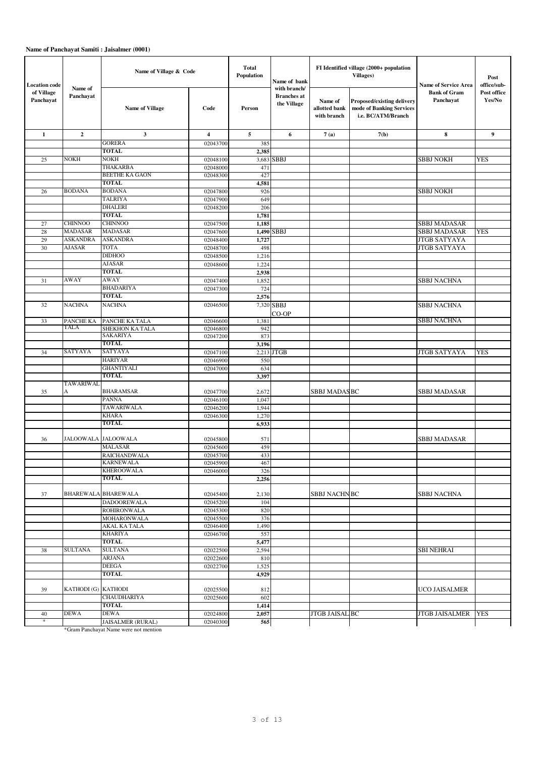| <b>Location</b> code    |                      | Name of Village & Code                   |                      | <b>Total</b><br>Population | Name of bank                                      |                                         | FI Identified village (2000+ population<br>Villages)                         | <b>Name of Service Area</b>      | Post<br>office/sub-   |
|-------------------------|----------------------|------------------------------------------|----------------------|----------------------------|---------------------------------------------------|-----------------------------------------|------------------------------------------------------------------------------|----------------------------------|-----------------------|
| of Village<br>Panchayat | Name of<br>Panchayat | <b>Name of Village</b>                   | Code                 | Person                     | with branch/<br><b>Branches</b> at<br>the Village | Name of<br>allotted bank<br>with branch | Proposed/existing delivery<br>mode of Banking Services<br>i.e. BC/ATM/Branch | <b>Bank of Gram</b><br>Panchayat | Post office<br>Yes/No |
| $\mathbf{1}$            | $\mathbf{2}$         | $\mathbf{3}$                             | 4                    | 5                          | 6                                                 | 7(a)                                    | 7(b)                                                                         | 8                                | 9                     |
|                         |                      | <b>GORERA</b>                            | 02043700             | 385                        |                                                   |                                         |                                                                              |                                  |                       |
|                         |                      | <b>TOTAL</b>                             |                      | 2,385                      |                                                   |                                         |                                                                              |                                  |                       |
| 25                      | <b>NOKH</b>          | NOKH                                     | 02048100             |                            | 3,683 SBBJ                                        |                                         |                                                                              | <b>SBBJ NOKH</b>                 | YES                   |
|                         |                      | THAKARBA                                 | 02048000             | 471                        |                                                   |                                         |                                                                              |                                  |                       |
|                         |                      | BEETHE KA GAON<br>TOTAL                  | 02048300             | 427                        |                                                   |                                         |                                                                              |                                  |                       |
| 26                      | <b>BODANA</b>        | <b>BODANA</b>                            |                      | 4,581<br>926               |                                                   |                                         |                                                                              | <b>SBBJ NOKH</b>                 |                       |
|                         |                      | <b>TALRIYA</b>                           | 02047800<br>02047900 | 649                        |                                                   |                                         |                                                                              |                                  |                       |
|                         |                      | <b>DHALERI</b>                           | 02048200             | 206                        |                                                   |                                         |                                                                              |                                  |                       |
|                         |                      | TOTAL                                    |                      | 1,781                      |                                                   |                                         |                                                                              |                                  |                       |
| 27                      | <b>CHINNOO</b>       | <b>CHINNOO</b>                           | 02047500             | 1,185                      |                                                   |                                         |                                                                              | <b>SBBJ MADASAR</b>              |                       |
| 28                      | <b>MADASAR</b>       | <b>MADASAR</b>                           | 02047600             |                            | 1,490 SBBJ                                        |                                         |                                                                              | <b>SBBJ MADASAR</b>              | <b>YES</b>            |
| 29                      | <b>ASKANDRA</b>      | <b>ASKANDRA</b>                          | 02048400             | 1,727                      |                                                   |                                         |                                                                              | <b>JTGB SATYAYA</b>              |                       |
| 30                      | <b>AJASAR</b>        | <b>TOTA</b>                              | 02048700             | 498                        |                                                   |                                         |                                                                              | <b>JTGB SATYAYA</b>              |                       |
|                         |                      | <b>DIDHOO</b>                            | 02048500             | 1,216                      |                                                   |                                         |                                                                              |                                  |                       |
|                         |                      | <b>AJASAR</b>                            | 02048600             | 1,224                      |                                                   |                                         |                                                                              |                                  |                       |
|                         |                      | TOTAL                                    |                      | 2,938                      |                                                   |                                         |                                                                              |                                  |                       |
| 31                      | AWAY                 | AWAY                                     | 02047400             | 1,852                      |                                                   |                                         |                                                                              | <b>SBBJ NACHNA</b>               |                       |
|                         |                      | <b>BHADARIYA</b>                         | 02047300             | 724                        |                                                   |                                         |                                                                              |                                  |                       |
|                         |                      | <b>TOTAL</b>                             |                      | 2,576                      |                                                   |                                         |                                                                              |                                  |                       |
| 32                      | <b>NACHNA</b>        | <b>NACHNA</b>                            | 02046500             |                            | 7,320 SBBJ                                        |                                         |                                                                              | <b>SBBJ NACHNA</b>               |                       |
| 33                      | PANCHE KA            | PANCHE KA TALA                           | 02046600             | 1,381                      | CO-OP                                             |                                         |                                                                              | <b>SBBJ NACHNA</b>               |                       |
|                         | <b>TALA</b>          | SHEKHON KA TALA                          | 02046800             | 942                        |                                                   |                                         |                                                                              |                                  |                       |
|                         |                      | SAKARIYA                                 | 02047200             | 873                        |                                                   |                                         |                                                                              |                                  |                       |
|                         |                      | <b>TOTAL</b>                             |                      | 3,196                      |                                                   |                                         |                                                                              |                                  |                       |
| 34                      | SATYAYA              | SATYAYA                                  | 02047100             |                            | $2,213$ JTGB                                      |                                         |                                                                              | <b>JTGB SATYAYA</b>              | <b>YES</b>            |
|                         |                      | <b>HARIYAR</b>                           | 02046900             | 550                        |                                                   |                                         |                                                                              |                                  |                       |
|                         |                      | <b>GHANTIYALI</b>                        | 02047000             | 634                        |                                                   |                                         |                                                                              |                                  |                       |
|                         | TAWARIWAL            | TOTAL                                    |                      | 3,397                      |                                                   |                                         |                                                                              |                                  |                       |
| 35                      | А                    | BHARAMSAR                                | 02047700             | 2,672                      |                                                   | <b>SBBJ MADASBC</b>                     |                                                                              | <b>SBBJ MADASAR</b>              |                       |
|                         |                      | PANNA                                    | 02046100             | 1,047                      |                                                   |                                         |                                                                              |                                  |                       |
|                         |                      | TAWARIWALA                               | 02046200             | 1,944                      |                                                   |                                         |                                                                              |                                  |                       |
|                         |                      | <b>KHARA</b>                             | 02046300             | 1,270                      |                                                   |                                         |                                                                              |                                  |                       |
|                         |                      | <b>TOTAL</b>                             |                      | 6,933                      |                                                   |                                         |                                                                              |                                  |                       |
| 36                      | JALOOWALA JALOOWALA  |                                          | 02045800             | 571                        |                                                   |                                         |                                                                              | <b>SBBJ MADASAR</b>              |                       |
|                         |                      | <b>MALASAR</b>                           | 02045600             | 459                        |                                                   |                                         |                                                                              |                                  |                       |
|                         |                      | <b>RAICHANDWALA</b>                      | 02045700             | 433                        |                                                   |                                         |                                                                              |                                  |                       |
|                         |                      | KARNEWALA                                | 02045900             | 467                        |                                                   |                                         |                                                                              |                                  |                       |
|                         |                      | <b>KHEROOWALA</b>                        | 02046000             | 326                        |                                                   |                                         |                                                                              |                                  |                       |
|                         |                      | TOTAL                                    |                      | 2,256                      |                                                   |                                         |                                                                              |                                  |                       |
|                         |                      |                                          |                      |                            |                                                   |                                         |                                                                              |                                  |                       |
| 37                      |                      | <b>BHAREWALA BHAREWALA</b>               | 02045400             | 2,130                      |                                                   | <b>SBBJ NACHNBC</b>                     |                                                                              | <b>SBBJ NACHNA</b>               |                       |
|                         |                      | <b>DADOOREWALA</b><br><b>ROHIRONWALA</b> | 02045200<br>02045300 | 104<br>820                 |                                                   |                                         |                                                                              |                                  |                       |
|                         |                      | <b>MOHARONWALA</b>                       | 02045500             | 376                        |                                                   |                                         |                                                                              |                                  |                       |
|                         |                      | AKAL KA TALA                             | 02046400             | 1,490                      |                                                   |                                         |                                                                              |                                  |                       |
|                         |                      | <b>KHARIYA</b>                           | 02046700             | 557                        |                                                   |                                         |                                                                              |                                  |                       |
|                         |                      | TOTAL                                    |                      | 5,477                      |                                                   |                                         |                                                                              |                                  |                       |
| 38                      | <b>SULTANA</b>       | <b>SULTANA</b>                           | 02022500             | 2,594                      |                                                   |                                         |                                                                              | <b>SBI NEHRAI</b>                |                       |
|                         |                      | ARJANA                                   | 02022600             | 810                        |                                                   |                                         |                                                                              |                                  |                       |
|                         |                      | <b>DEEGA</b>                             | 02022700             | 1,525                      |                                                   |                                         |                                                                              |                                  |                       |
|                         |                      | TOTAL                                    |                      | 4,929                      |                                                   |                                         |                                                                              |                                  |                       |
|                         |                      |                                          |                      |                            |                                                   |                                         |                                                                              |                                  |                       |
| 39                      | KATHODI (G) KATHODI  | <b>CHAUDHARIYA</b>                       | 02025500             | 812                        |                                                   |                                         |                                                                              | <b>UCO JAISALMER</b>             |                       |
|                         |                      | TOTAL                                    | 02025600             | 602<br>1,414               |                                                   |                                         |                                                                              |                                  |                       |
| 40                      | <b>DEWA</b>          | <b>DEWA</b>                              | 02024800             | 2,057                      |                                                   | <b>JTGB JAISAL BC</b>                   |                                                                              | <b>JTGB JAISALMER</b>            | <b>YES</b>            |
| $\ast$                  |                      | JAISALMER (RURAL)                        | 02040300             | 565                        |                                                   |                                         |                                                                              |                                  |                       |
|                         |                      | *Gram Panchayat Name were not mention    |                      |                            |                                                   |                                         |                                                                              |                                  |                       |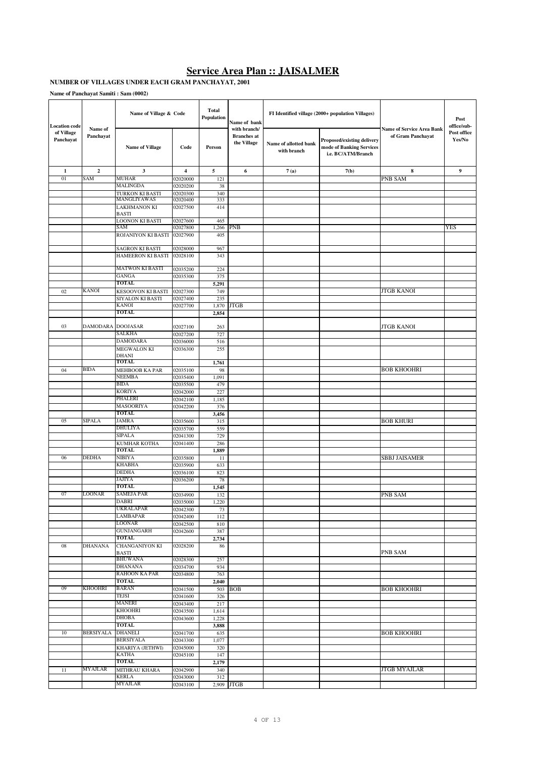#### **Service Area Plan :: JAISALMER**

#### **NUMBER OF VILLAGES UNDER EACH GRAM PANCHAYAT, 2001**

| <b>Location</b> code    |                      | Name of Village & Code                                  |                      | <b>Total</b><br>Population | Name of bank                                      |                                      | FI Identified village (2000+ population Villages)                            |                                                       | Post<br>office/sub-   |
|-------------------------|----------------------|---------------------------------------------------------|----------------------|----------------------------|---------------------------------------------------|--------------------------------------|------------------------------------------------------------------------------|-------------------------------------------------------|-----------------------|
| of Village<br>Panchayat | Name of<br>Panchayat | <b>Name of Village</b>                                  | Code                 | Person                     | with branch/<br><b>Branches</b> at<br>the Village | Name of allotted bank<br>with branch | Proposed/existing delivery<br>mode of Banking Services<br>i.e. BC/ATM/Branch | <b>Name of Service Area Bank</b><br>of Gram Panchayat | Post office<br>Yes/No |
| 1                       | $\mathbf{2}$         | $\mathbf{3}$                                            | $\overline{4}$       | 5                          | 6                                                 | 7(a)                                 | 7(b)                                                                         | 8                                                     | 9                     |
| 01                      | SAM                  | <b>MUHAR</b>                                            | 02020000             | 121                        |                                                   |                                      |                                                                              | PNB SAM                                               |                       |
|                         |                      | <b>MALINGDA</b>                                         | 02020200             | 38                         |                                                   |                                      |                                                                              |                                                       |                       |
|                         |                      | TURKON KI BASTI<br>MANGLIYAWAS                          | 02020300<br>02020400 | 340<br>333                 |                                                   |                                      |                                                                              |                                                       |                       |
|                         |                      | <b>LAKHMANON KI</b>                                     | 02027500             | 414                        |                                                   |                                      |                                                                              |                                                       |                       |
|                         |                      | <b>BASTI</b>                                            |                      |                            |                                                   |                                      |                                                                              |                                                       |                       |
|                         |                      | <b>LOONON KI BASTI</b><br>SAM                           | 02027600<br>02027800 | 465<br>1,266               | <b>PNB</b>                                        |                                      |                                                                              |                                                       | <b>YES</b>            |
|                         |                      | ROJANIYON KI BASTI                                      | 02027900             | 405                        |                                                   |                                      |                                                                              |                                                       |                       |
|                         |                      | <b>SAGRON KI BASTI</b>                                  | 02028000             | 967                        |                                                   |                                      |                                                                              |                                                       |                       |
|                         |                      | HAMEERON KI BASTI                                       | 02028100             | 343                        |                                                   |                                      |                                                                              |                                                       |                       |
|                         |                      | <b>MATWON KI BASTI</b>                                  | 02035200             | 224                        |                                                   |                                      |                                                                              |                                                       |                       |
|                         |                      | GANGA                                                   | 02035300             | 375                        |                                                   |                                      |                                                                              |                                                       |                       |
|                         |                      | <b>TOTAL</b>                                            |                      | 5,291                      |                                                   |                                      |                                                                              |                                                       |                       |
| 02                      | <b>KANOI</b>         | KESOOVON KI BASTI<br>SIYALON KI BASTI                   | 02027300<br>02027400 | 749<br>235                 |                                                   |                                      |                                                                              | <b>JTGB KANOI</b>                                     |                       |
|                         |                      | <b>KANOI</b>                                            | 02027700             | 1,870                      | <b>JTGB</b>                                       |                                      |                                                                              |                                                       |                       |
|                         |                      | <b>TOTAL</b>                                            |                      | 2,854                      |                                                   |                                      |                                                                              |                                                       |                       |
|                         |                      |                                                         |                      |                            |                                                   |                                      |                                                                              |                                                       |                       |
| 03                      | <b>DAMODARA</b>      | <b>DOOJASAR</b><br><b>SALKHA</b>                        | 02027100<br>02027200 | 263<br>727                 |                                                   |                                      |                                                                              | <b>JTGB KANOI</b>                                     |                       |
|                         |                      | <b>DAMODARA</b>                                         | 02036000             | 516                        |                                                   |                                      |                                                                              |                                                       |                       |
|                         |                      | MEGWALON KI                                             | 02036300             | 255                        |                                                   |                                      |                                                                              |                                                       |                       |
|                         |                      | <b>DHANI</b>                                            |                      |                            |                                                   |                                      |                                                                              |                                                       |                       |
| 04                      | <b>BIDA</b>          | TOTAL<br>MEHBOOB KA PAR                                 | 02035100             | 1,761<br>98                |                                                   |                                      |                                                                              | <b>BOB KHOOHRI</b>                                    |                       |
|                         |                      | <b>NEEMBA</b>                                           | 02035400             | 1,091                      |                                                   |                                      |                                                                              |                                                       |                       |
|                         |                      | <b>BIDA</b>                                             | 02035500             | 479                        |                                                   |                                      |                                                                              |                                                       |                       |
|                         |                      | <b>KORIYA</b>                                           | 02042000             | 227                        |                                                   |                                      |                                                                              |                                                       |                       |
|                         |                      | <b>PHALERI</b><br><b>MASOORIYA</b>                      | 02042100<br>02042200 | 1,185<br>376               |                                                   |                                      |                                                                              |                                                       |                       |
|                         |                      | <b>TOTAL</b>                                            |                      | 3,456                      |                                                   |                                      |                                                                              |                                                       |                       |
| 05                      | <b>SIPALA</b>        | <b>JAMRA</b>                                            | 02035600             | 315                        |                                                   |                                      |                                                                              | <b>BOB KHURI</b>                                      |                       |
|                         |                      | <b>DHULIYA</b>                                          | 02035700             | 559                        |                                                   |                                      |                                                                              |                                                       |                       |
|                         |                      | <b>SIPALA</b><br>KUMHAR KOTHA                           | 02041300<br>02041400 | 729<br>286                 |                                                   |                                      |                                                                              |                                                       |                       |
|                         |                      | <b>TOTAL</b>                                            |                      | 1,889                      |                                                   |                                      |                                                                              |                                                       |                       |
| 06                      | <b>DEDHA</b>         | <b>NIBIYA</b>                                           | 02035800             | 11                         |                                                   |                                      |                                                                              | <b>SBBJ JAISAMER</b>                                  |                       |
|                         |                      | <b>KHABHA</b>                                           | 02035900             | 633                        |                                                   |                                      |                                                                              |                                                       |                       |
|                         |                      | <b>DEDHA</b><br>JAJIYA                                  | 02036100             | 823                        |                                                   |                                      |                                                                              |                                                       |                       |
|                         |                      | <b>TOTAL</b>                                            | 02036200             | 78<br>1,545                |                                                   |                                      |                                                                              |                                                       |                       |
| 07                      | <b>LOONAR</b>        | <b>SAMEJA PAR</b>                                       | 02034900             | 132                        |                                                   |                                      |                                                                              | PNB SAM                                               |                       |
|                         |                      | DABRI                                                   | 02035000             | 1,220                      |                                                   |                                      |                                                                              |                                                       |                       |
|                         |                      | <b>UKRALAPAR</b><br>LAMBAPAR                            | 02042300             | 73                         |                                                   |                                      |                                                                              |                                                       |                       |
|                         |                      | <b>LOONAR</b>                                           | 02042400<br>02042500 | 112<br>810                 |                                                   |                                      |                                                                              |                                                       |                       |
|                         |                      | <b>GUNJANGARH</b>                                       | 02042600             | 387                        |                                                   |                                      |                                                                              |                                                       |                       |
|                         |                      | <b>TOTAL</b>                                            |                      | 2,734                      |                                                   |                                      |                                                                              |                                                       |                       |
| 08                      | <b>DHANANA</b>       | <b>CHANGANIYON KI</b><br><b>BASTI</b><br><b>BHUWANA</b> | 02028200<br>02028300 | 86                         |                                                   |                                      |                                                                              | PNB SAM                                               |                       |
|                         |                      | <b>DHANANA</b>                                          | 02034700             | 257<br>934                 |                                                   |                                      |                                                                              |                                                       |                       |
|                         |                      | <b>RAHOON KA PAR</b>                                    | 02034800             | 763                        |                                                   |                                      |                                                                              |                                                       |                       |
|                         |                      | TOTAL                                                   |                      | 2,040                      |                                                   |                                      |                                                                              |                                                       |                       |
| 09                      | <b>KHOOHRI</b>       | <b>BARAN</b><br>TEJSI                                   | 02041500             |                            | 503 BOB                                           |                                      |                                                                              | <b>BOB KHOOHRI</b>                                    |                       |
|                         |                      | <b>MANERI</b>                                           | 02041600<br>02043400 | 326<br>217                 |                                                   |                                      |                                                                              |                                                       |                       |
|                         |                      | <b>KHOOHRI</b>                                          | 02043500             | 1,614                      |                                                   |                                      |                                                                              |                                                       |                       |
|                         |                      | <b>DHOBA</b>                                            | 02043600             | 1,228                      |                                                   |                                      |                                                                              |                                                       |                       |
|                         |                      | <b>TOTAL</b>                                            |                      | 3,888                      |                                                   |                                      |                                                                              |                                                       |                       |
| 10                      | <b>BERSIYALA</b>     | <b>DHANELI</b><br><b>BERSIYALA</b>                      | 02041700<br>02043300 | 635<br>1,077               |                                                   |                                      |                                                                              | <b>BOB KHOOHRI</b>                                    |                       |
|                         |                      | KHARIYA (JETHWI)                                        | 02045000             | 320                        |                                                   |                                      |                                                                              |                                                       |                       |
|                         |                      | <b>KATHA</b>                                            | 02045100             | 147                        |                                                   |                                      |                                                                              |                                                       |                       |
|                         |                      | TOTAL                                                   |                      | 2,179                      |                                                   |                                      |                                                                              |                                                       |                       |
| 11                      | <b>MYAJLAR</b>       | MITHRAU KHARA<br><b>KERLA</b>                           | 02042900<br>02043000 | 340<br>312                 |                                                   |                                      |                                                                              | <b>JTGB MYAJLAR</b>                                   |                       |
|                         |                      | <b>MYAJLAR</b>                                          | 02043100             |                            | 2,909 JTGB                                        |                                      |                                                                              |                                                       |                       |
|                         |                      |                                                         |                      |                            |                                                   |                                      |                                                                              |                                                       |                       |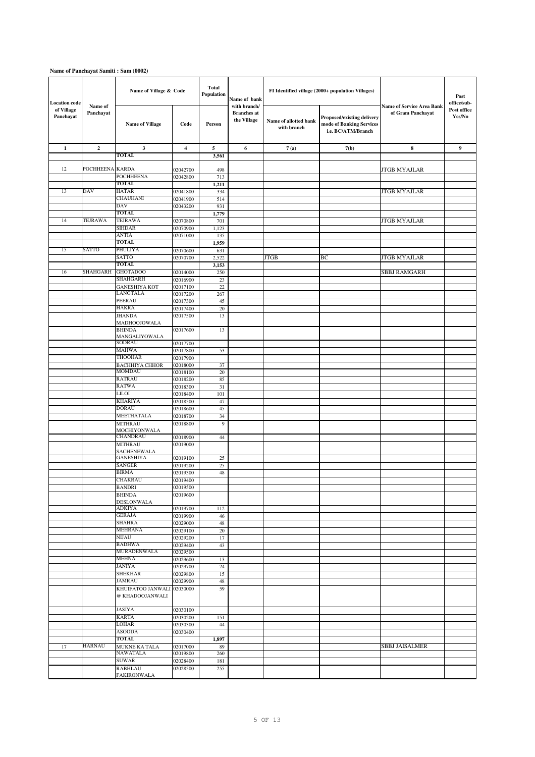| <b>Location</b> code    |                      | Name of Village & Code               |                      | <b>Total</b><br>Population | Name of bank                                      |                                      | FI Identified village (2000+ population Villages)                            |                                                       | Post<br>office/sub-   |
|-------------------------|----------------------|--------------------------------------|----------------------|----------------------------|---------------------------------------------------|--------------------------------------|------------------------------------------------------------------------------|-------------------------------------------------------|-----------------------|
| of Village<br>Panchayat | Name of<br>Panchayat | <b>Name of Village</b>               | Code                 | Person                     | with branch/<br><b>Branches</b> at<br>the Village | Name of allotted bank<br>with branch | Proposed/existing delivery<br>mode of Banking Services<br>i.e. BC/ATM/Branch | <b>Name of Service Area Bank</b><br>of Gram Panchayat | Post office<br>Yes/No |
| $\mathbf{1}$            | $\mathbf{2}$         | $\mathbf{3}$                         | 4                    | 5                          | 6                                                 | 7(a)                                 | 7(b)                                                                         | $\bf8$                                                | $\overline{9}$        |
|                         |                      | TOTAL                                |                      | 3,561                      |                                                   |                                      |                                                                              |                                                       |                       |
| 12                      | <b>POCHHEENA</b>     | <b>KARDA</b>                         | 02042700             | 498                        |                                                   |                                      |                                                                              | <b>JTGB MYAJLAR</b>                                   |                       |
|                         |                      | <b>POCHHEENA</b>                     | 02042800             | 713                        |                                                   |                                      |                                                                              |                                                       |                       |
|                         |                      | TOTAL                                |                      | 1,211                      |                                                   |                                      |                                                                              |                                                       |                       |
| 13                      | DAV                  | <b>HATAR</b><br>CHAUHANI             | 02041800<br>02041900 | 334<br>514                 |                                                   |                                      |                                                                              | <b>JTGB MYAJLAR</b>                                   |                       |
|                         |                      | DAV                                  | 02043200             | 931                        |                                                   |                                      |                                                                              |                                                       |                       |
|                         |                      | <b>TOTAL</b>                         |                      | 1,779                      |                                                   |                                      |                                                                              |                                                       |                       |
| 14                      | TEJRAWA              | <b>TEJRAWA</b>                       | 02070800             | 701                        |                                                   |                                      |                                                                              | <b>JTGB MYAJLAR</b>                                   |                       |
|                         |                      | <b>SIHDAR</b><br><b>ANTIA</b>        | 02070900<br>02071000 | 1,123<br>135               |                                                   |                                      |                                                                              |                                                       |                       |
|                         |                      | <b>TOTAL</b>                         |                      | 1,959                      |                                                   |                                      |                                                                              |                                                       |                       |
| 15                      | SATTO                | PHULIYA                              | 02070600             | 631                        |                                                   |                                      |                                                                              |                                                       |                       |
|                         |                      | <b>SATTO</b>                         | 02070700             | 2,522                      |                                                   | <b>JTGB</b>                          | BC                                                                           | <b>JTGB MYAJLAR</b>                                   |                       |
| 16                      | SHAHGARH             | <b>TOTAL</b><br><b>GHOTADOO</b>      | 02014000             | 3,153<br>250               |                                                   |                                      |                                                                              | SBBJ RAMGARH                                          |                       |
|                         |                      | <b>SHAHGARH</b>                      | 02016900             | 23                         |                                                   |                                      |                                                                              |                                                       |                       |
|                         |                      | <b>GANESHIYA KOT</b>                 | 02017100             | 22                         |                                                   |                                      |                                                                              |                                                       |                       |
|                         |                      | LANGTALA                             | 02017200             | 267                        |                                                   |                                      |                                                                              |                                                       |                       |
|                         |                      | PEERAU<br><b>HAKRA</b>               | 02017300<br>02017400 | 45<br>20                   |                                                   |                                      |                                                                              |                                                       |                       |
|                         |                      | <b>JHANDA</b>                        | 02017500             | 13                         |                                                   |                                      |                                                                              |                                                       |                       |
|                         |                      | MADHOOJOWALA<br><b>BHINDA</b>        | 02017600             | 13                         |                                                   |                                      |                                                                              |                                                       |                       |
|                         |                      | MANGALIYOWALA<br><b>SODRAU</b>       |                      |                            |                                                   |                                      |                                                                              |                                                       |                       |
|                         |                      | <b>MAHWA</b>                         | 02017700<br>02017800 | 53                         |                                                   |                                      |                                                                              |                                                       |                       |
|                         |                      | <b>THOOHAR</b>                       | 02017900             |                            |                                                   |                                      |                                                                              |                                                       |                       |
|                         |                      | <b>BACHHIYA CHHOR</b>                | 02018000             | 37                         |                                                   |                                      |                                                                              |                                                       |                       |
|                         |                      | <b>MOMDAU</b><br><b>RATRAU</b>       | 02018100             | 20                         |                                                   |                                      |                                                                              |                                                       |                       |
|                         |                      | RATWA                                | 02018200<br>02018300 | 85<br>31                   |                                                   |                                      |                                                                              |                                                       |                       |
|                         |                      | LILOI                                | 02018400             | 101                        |                                                   |                                      |                                                                              |                                                       |                       |
|                         |                      | <b>KHARIYA</b>                       | 02018500             | 47                         |                                                   |                                      |                                                                              |                                                       |                       |
|                         |                      | <b>DORAU</b><br>MEETHATALA           | 02018600             | 45                         |                                                   |                                      |                                                                              |                                                       |                       |
|                         |                      | <b>MITHRAU</b>                       | 02018700<br>02018800 | 34<br>9                    |                                                   |                                      |                                                                              |                                                       |                       |
|                         |                      | MOCHIYONWALA<br><b>CHANDRAU</b>      | 02018900             | 44                         |                                                   |                                      |                                                                              |                                                       |                       |
|                         |                      | <b>MITHRAU</b><br><b>SACHENEWALA</b> | 02019000             |                            |                                                   |                                      |                                                                              |                                                       |                       |
|                         |                      | <b>GANESHIYA</b>                     | 02019100             | 25                         |                                                   |                                      |                                                                              |                                                       |                       |
|                         |                      | <b>SANGER</b><br><b>BIRMA</b>        | 02019200             | 25                         |                                                   |                                      |                                                                              |                                                       |                       |
|                         |                      | CHAKRAU                              | 02019300<br>02019400 | 48                         |                                                   |                                      |                                                                              |                                                       |                       |
|                         |                      | <b>BANDRI</b>                        | 02019500             |                            |                                                   |                                      |                                                                              |                                                       |                       |
|                         |                      | <b>BHINDA</b><br><b>DESLONWALA</b>   | 02019600             |                            |                                                   |                                      |                                                                              |                                                       |                       |
|                         |                      | <b>ADKIYA</b>                        | 02019700             | 112                        |                                                   |                                      |                                                                              |                                                       |                       |
|                         |                      | <b>GERAJA</b><br>SHAHRA              | 02019900<br>02029000 | 46<br>48                   |                                                   |                                      |                                                                              |                                                       |                       |
|                         |                      | <b>MEHRANA</b>                       | 02029100             | $20\,$                     |                                                   |                                      |                                                                              |                                                       |                       |
|                         |                      | NIJAU                                | 02029200             | 17                         |                                                   |                                      |                                                                              |                                                       |                       |
|                         |                      | <b>BADHWA</b><br>MURADENWALA         | 02029400<br>02029500 | 43                         |                                                   |                                      |                                                                              |                                                       |                       |
|                         |                      | <b>MEHNA</b>                         | 02029600             | 13                         |                                                   |                                      |                                                                              |                                                       |                       |
|                         |                      | <b>JANIYA</b>                        | 02029700             | 24                         |                                                   |                                      |                                                                              |                                                       |                       |
|                         |                      | <b>SHEKHAR</b><br><b>JAMRAU</b>      | 02029800             | 15                         |                                                   |                                      |                                                                              |                                                       |                       |
|                         |                      | KHUIFATOO JANWALI                    | 02029900<br>02030000 | 48<br>59                   |                                                   |                                      |                                                                              |                                                       |                       |
|                         |                      | @ KHADOOJANWALI                      |                      |                            |                                                   |                                      |                                                                              |                                                       |                       |
|                         |                      | JASIYA                               | 02030100             |                            |                                                   |                                      |                                                                              |                                                       |                       |
|                         |                      | <b>KARTA</b>                         | 02030200             | 151                        |                                                   |                                      |                                                                              |                                                       |                       |
|                         |                      | <b>LOHAR</b><br>ASOODA               | 02030300<br>02030400 | 44                         |                                                   |                                      |                                                                              |                                                       |                       |
|                         |                      | TOTAL                                |                      | 1,897                      |                                                   |                                      |                                                                              |                                                       |                       |
| 17                      | HARNAU               | <b>MUKNE KA TALA</b>                 | 02017000             | 89                         |                                                   |                                      |                                                                              | SBBJ JAISALMER                                        |                       |
|                         |                      | NAWATALA<br>SUWAR                    | 02019800             | 260                        |                                                   |                                      |                                                                              |                                                       |                       |
|                         |                      | <b>RABHLAU</b>                       | 02028400<br>02028500 | 181<br>255                 |                                                   |                                      |                                                                              |                                                       |                       |
|                         |                      | <b>FAKIRONWALA</b>                   |                      |                            |                                                   |                                      |                                                                              |                                                       |                       |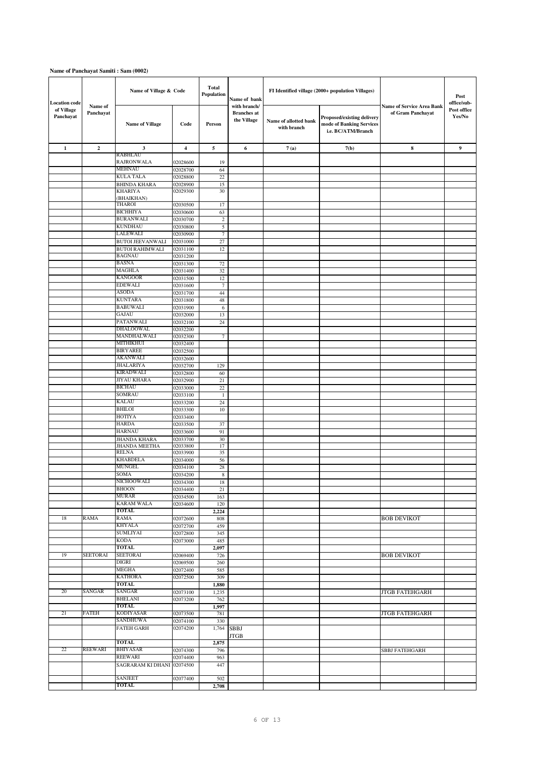| <b>Location</b> code    |                      | Name of Village & Code                 |                      | <b>Total</b><br>Population | Name of bank                                      |                                      | FI Identified village (2000+ population Villages)                            |                                                       | Post<br>office/sub-   |
|-------------------------|----------------------|----------------------------------------|----------------------|----------------------------|---------------------------------------------------|--------------------------------------|------------------------------------------------------------------------------|-------------------------------------------------------|-----------------------|
| of Village<br>Panchayat | Name of<br>Panchayat | <b>Name of Village</b>                 | Code                 | Person                     | with branch/<br><b>Branches</b> at<br>the Village | Name of allotted bank<br>with branch | Proposed/existing delivery<br>mode of Banking Services<br>i.e. BC/ATM/Branch | <b>Name of Service Area Bank</b><br>of Gram Panchayat | Post office<br>Yes/No |
| $\mathbf 1$             | $\mathbf 2$          | 3                                      | $\overline{4}$       | 5                          | 6                                                 | 7(a)                                 | 7(b)                                                                         | 8                                                     | $\boldsymbol{9}$      |
|                         |                      | RABHLAU                                |                      |                            |                                                   |                                      |                                                                              |                                                       |                       |
|                         |                      | <b>RAJRONWALA</b><br><b>MEHNAU</b>     | 02028600<br>02028700 | 19<br>64                   |                                                   |                                      |                                                                              |                                                       |                       |
|                         |                      | <b>KULA TALA</b>                       | 02028800             | 22                         |                                                   |                                      |                                                                              |                                                       |                       |
|                         |                      | <b>BHINDA KHARA</b>                    | 02028900             | 15                         |                                                   |                                      |                                                                              |                                                       |                       |
|                         |                      | <b>KHARIYA</b>                         | 02029300             | 30                         |                                                   |                                      |                                                                              |                                                       |                       |
|                         |                      | (BHAIKHAN)<br><b>THAROI</b>            | 02030500             | 17                         |                                                   |                                      |                                                                              |                                                       |                       |
|                         |                      | <b>BICHHIYA</b>                        | 02030600             | 63                         |                                                   |                                      |                                                                              |                                                       |                       |
|                         |                      | <b>BURANWALI</b>                       | 02030700             | $\sqrt{2}$                 |                                                   |                                      |                                                                              |                                                       |                       |
|                         |                      | <b>KUNDHAU</b>                         | 02030800             | 5                          |                                                   |                                      |                                                                              |                                                       |                       |
|                         |                      | LALEWALI<br><b>BUTOI JEEVANWALI</b>    | 02030900<br>02031000 | $\boldsymbol{7}$<br>$27\,$ |                                                   |                                      |                                                                              |                                                       |                       |
|                         |                      | <b>BUTOI RAHIMWALI</b>                 | 02031100             | 12                         |                                                   |                                      |                                                                              |                                                       |                       |
|                         |                      | <b>BAGNAU</b>                          | 02031200             |                            |                                                   |                                      |                                                                              |                                                       |                       |
|                         |                      | <b>BASNA</b>                           | 02031300             | $72\,$                     |                                                   |                                      |                                                                              |                                                       |                       |
|                         |                      | <b>MAGHLA</b>                          | 02031400             | 32                         |                                                   |                                      |                                                                              |                                                       |                       |
|                         |                      | <b>KANGOOR</b><br><b>EDEWALI</b>       | 02031500             | 12                         |                                                   |                                      |                                                                              |                                                       |                       |
|                         |                      | <b>ASODA</b>                           | 02031600<br>02031700 | $7\phantom{.0}$<br>44      |                                                   |                                      |                                                                              |                                                       |                       |
|                         |                      | <b>KUNTARA</b>                         | 02031800             | 48                         |                                                   |                                      |                                                                              |                                                       |                       |
|                         |                      | <b>BABUWALI</b>                        | 02031900             | 6                          |                                                   |                                      |                                                                              |                                                       |                       |
|                         |                      | GAJAU                                  | 02032000             | 13                         |                                                   |                                      |                                                                              |                                                       |                       |
|                         |                      | PATANWALI                              | 02032100             | 24                         |                                                   |                                      |                                                                              |                                                       |                       |
|                         |                      | <b>DHALOOWAL</b><br>MANDHALWALI        | 02032200<br>02032300 | $\boldsymbol{7}$           |                                                   |                                      |                                                                              |                                                       |                       |
|                         |                      | MITHIKHUI                              | 02032400             |                            |                                                   |                                      |                                                                              |                                                       |                       |
|                         |                      | <b>BIRYAREE</b>                        | 02032500             |                            |                                                   |                                      |                                                                              |                                                       |                       |
|                         |                      | <b>AKANWALI</b>                        | 02032600             |                            |                                                   |                                      |                                                                              |                                                       |                       |
|                         |                      | JHALARIYA                              | 02032700             | 129                        |                                                   |                                      |                                                                              |                                                       |                       |
|                         |                      | <b>KIRADWALI</b><br><b>JIYAU KHARA</b> | 02032800<br>02032900 | 60<br>21                   |                                                   |                                      |                                                                              |                                                       |                       |
|                         |                      | <b>BICHAU</b>                          | 02033000             | $22\,$                     |                                                   |                                      |                                                                              |                                                       |                       |
|                         |                      | SOMRAU                                 | 02033100             | $\mathbf{1}$               |                                                   |                                      |                                                                              |                                                       |                       |
|                         |                      | <b>KALAU</b>                           | 02033200             | 24                         |                                                   |                                      |                                                                              |                                                       |                       |
|                         |                      | <b>BHILOI</b>                          | 02033300             | 10                         |                                                   |                                      |                                                                              |                                                       |                       |
|                         |                      | <b>HOTIYA</b><br><b>HARDA</b>          | 02033400             |                            |                                                   |                                      |                                                                              |                                                       |                       |
|                         |                      | <b>HARNAU</b>                          | 02033500<br>02033600 | 37<br>91                   |                                                   |                                      |                                                                              |                                                       |                       |
|                         |                      | <b>JHANDA KHARA</b>                    | 02033700             | 30                         |                                                   |                                      |                                                                              |                                                       |                       |
|                         |                      | <b>JHANDA MEETHA</b>                   | 02033800             | 17                         |                                                   |                                      |                                                                              |                                                       |                       |
|                         |                      | <b>RELNA</b>                           | 02033900             | 35                         |                                                   |                                      |                                                                              |                                                       |                       |
|                         |                      | <b>KHABDELA</b><br><b>MUNGEL</b>       | 02034000<br>02034100 | 56<br>$28\,$               |                                                   |                                      |                                                                              |                                                       |                       |
|                         |                      | SOMA                                   | 02034200             | $\,$ 8 $\,$                |                                                   |                                      |                                                                              |                                                       |                       |
|                         |                      | NICHOOWALI                             | 02034300             | 18                         |                                                   |                                      |                                                                              |                                                       |                       |
|                         |                      | <b>BHOON</b>                           | 02034400             | 21                         |                                                   |                                      |                                                                              |                                                       |                       |
|                         |                      | <b>MURAR</b>                           | 02034500             | 163                        |                                                   |                                      |                                                                              |                                                       |                       |
|                         |                      | <b>KARAM WALA</b><br><b>TOTAL</b>      | 02034600             | 120<br>2,224               |                                                   |                                      |                                                                              |                                                       |                       |
| 18                      | RAMA                 | RAMA                                   | 02072600             | 808                        |                                                   |                                      |                                                                              | <b>BOB DEVIKOT</b>                                    |                       |
|                         |                      | <b>KHYALA</b>                          | 02072700             | 459                        |                                                   |                                      |                                                                              |                                                       |                       |
|                         |                      | <b>SUMLIYAI</b>                        | 02072800             | 345                        |                                                   |                                      |                                                                              |                                                       |                       |
|                         |                      | <b>KODA</b>                            | 02073000             | 485                        |                                                   |                                      |                                                                              |                                                       |                       |
| 19                      | <b>SEETORAI</b>      | <b>TOTAL</b><br><b>SEETORAI</b>        | 02069400             | 2,097<br>726               |                                                   |                                      |                                                                              | <b>BOB DEVIKOT</b>                                    |                       |
|                         |                      | DIGRI                                  | 02069500             | 260                        |                                                   |                                      |                                                                              |                                                       |                       |
|                         |                      | <b>MEGHA</b>                           | 02072400             | 585                        |                                                   |                                      |                                                                              |                                                       |                       |
|                         |                      | <b>KATHORA</b>                         | 02072500             | 309                        |                                                   |                                      |                                                                              |                                                       |                       |
|                         |                      | <b>TOTAL</b>                           |                      | 1,880                      |                                                   |                                      |                                                                              |                                                       |                       |
| 20                      | <b>SANGAR</b>        | <b>SANGAR</b><br><b>BHELANI</b>        | 02073100<br>02073200 | 1,235<br>762               |                                                   |                                      |                                                                              | <b>JTGB FATEHGARH</b>                                 |                       |
|                         |                      | TOTAL                                  |                      | 1,997                      |                                                   |                                      |                                                                              |                                                       |                       |
| 21                      | FATEH                | KODIYASAR                              | 02073500             | 781                        |                                                   |                                      |                                                                              | <b>JTGB FATEHGARH</b>                                 |                       |
|                         |                      | <b>SANDHUWA</b>                        | 02074100             | 330                        |                                                   |                                      |                                                                              |                                                       |                       |
|                         |                      | <b>FATEH GARH</b>                      | 02074200             | 1,764                      | SBBJ<br><b>JTGB</b>                               |                                      |                                                                              |                                                       |                       |
| 22                      | REEWARI              | TOTAL<br><b>BHIYASAR</b>               |                      | 2,875                      |                                                   |                                      |                                                                              |                                                       |                       |
|                         |                      | REEWARI                                | 02074300<br>02074400 | 796<br>963                 |                                                   |                                      |                                                                              | SBBJ FATEHGARH                                        |                       |
|                         |                      | SAGRARAM KI DHANI 02074500             |                      | 447                        |                                                   |                                      |                                                                              |                                                       |                       |
|                         |                      | <b>SANJEET</b>                         | 02077400             | 502                        |                                                   |                                      |                                                                              |                                                       |                       |
|                         |                      | <b>TOTAL</b>                           |                      | 2,708                      |                                                   |                                      |                                                                              |                                                       |                       |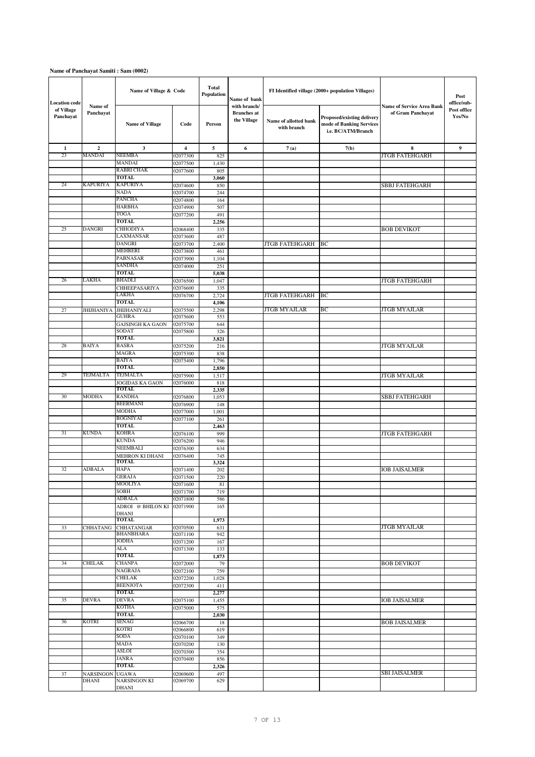| <b>Location</b> code    |                      | Name of Village & Code              |                         | <b>Total</b><br>Population | Name of bank                                      |                                      | FI Identified village (2000+ population Villages)                            |                                                       | Post<br>office/sub-   |
|-------------------------|----------------------|-------------------------------------|-------------------------|----------------------------|---------------------------------------------------|--------------------------------------|------------------------------------------------------------------------------|-------------------------------------------------------|-----------------------|
| of Village<br>Panchayat | Name of<br>Panchayat | <b>Name of Village</b>              | Code                    | Person                     | with branch/<br><b>Branches</b> at<br>the Village | Name of allotted bank<br>with branch | Proposed/existing delivery<br>mode of Banking Services<br>i.e. BC/ATM/Branch | <b>Name of Service Area Bank</b><br>of Gram Panchayat | Post office<br>Yes/No |
| $\mathbf{1}$            | $\mathbf{2}$         | $\mathbf{3}$                        | $\overline{\mathbf{4}}$ | $\mathbf{5}$               | 6                                                 | 7(a)                                 | 7(b)                                                                         | 8                                                     | 9                     |
| 23                      | MANDAI               | <b>NEEMBA</b>                       | 02077300                | 825                        |                                                   |                                      |                                                                              | <b>JTGB FATEHGARH</b>                                 |                       |
|                         |                      | <b>MANDAI</b><br><b>RABRI CHAK</b>  | 02077500                | 1,430<br>805               |                                                   |                                      |                                                                              |                                                       |                       |
|                         |                      | TOTAL                               | 02077600                | 3,060                      |                                                   |                                      |                                                                              |                                                       |                       |
| 24                      | KAPURIYA             | <b>KAPURIYA</b>                     | 02074600                | 850                        |                                                   |                                      |                                                                              | SBBJ FATEHGARH                                        |                       |
|                         |                      | <b>NADA</b>                         | 02074700                | 244                        |                                                   |                                      |                                                                              |                                                       |                       |
|                         |                      | <b>PANCHA</b>                       | 02074800                | 164                        |                                                   |                                      |                                                                              |                                                       |                       |
|                         |                      | <b>HARBHA</b>                       | 02074900                | 507                        |                                                   |                                      |                                                                              |                                                       |                       |
|                         |                      | <b>TOGA</b><br><b>TOTAL</b>         | 02077200                | 491<br>2,256               |                                                   |                                      |                                                                              |                                                       |                       |
| 25                      | <b>DANGRI</b>        | <b>CHHODIYA</b>                     | 02068400                | 335                        |                                                   |                                      |                                                                              | <b>BOB DEVIKOT</b>                                    |                       |
|                         |                      | LAXMANSAR                           | 02073600                | 487                        |                                                   |                                      |                                                                              |                                                       |                       |
|                         |                      | <b>DANGRI</b>                       | 02073700                | 2,400                      |                                                   | JTGB FATEHGARH                       | BC                                                                           |                                                       |                       |
|                         |                      | MEHRERI                             | 02073800                | 461                        |                                                   |                                      |                                                                              |                                                       |                       |
|                         |                      | PABNASAR<br><b>SANDHA</b>           | 02073900                | 1,104<br>251               |                                                   |                                      |                                                                              |                                                       |                       |
|                         |                      | <b>TOTAL</b>                        | 02074000                | 5,038                      |                                                   |                                      |                                                                              |                                                       |                       |
| 26                      | LAKHA                | <b>BHADLI</b>                       | 02076500                | 1,047                      |                                                   |                                      |                                                                              | <b>JTGB FATEHGARH</b>                                 |                       |
|                         |                      | CHHEEPASARIYA                       | 02076600                | 335                        |                                                   |                                      |                                                                              |                                                       |                       |
|                         |                      | LAKHA                               | 02076700                | 2,724                      |                                                   | JTGB FATEHGARH                       | BC                                                                           |                                                       |                       |
|                         |                      | <b>TOTAL</b>                        |                         | 4,106                      |                                                   |                                      |                                                                              | <b>JTGB MYAJLAR</b>                                   |                       |
| 27                      | JHIJHANIYA           | <b>JHIJHANIYALI</b><br><b>GUHRA</b> | 02075500<br>02075600    | 2,298<br>553               |                                                   | JTGB MYAJLAR                         | BС                                                                           |                                                       |                       |
|                         |                      | <b>GAJSINGH KA GAON</b>             | 02075700                | 644                        |                                                   |                                      |                                                                              |                                                       |                       |
|                         |                      | SODAT                               | 02075800                | 326                        |                                                   |                                      |                                                                              |                                                       |                       |
|                         |                      | <b>TOTAL</b>                        |                         | 3,821                      |                                                   |                                      |                                                                              |                                                       |                       |
| 28                      | <b>BAIYA</b>         | <b>BASRA</b>                        | 02075200                | 216                        |                                                   |                                      |                                                                              | <b>JTGB MYAJLAR</b>                                   |                       |
|                         |                      | <b>MAGRA</b><br>BAIYA               | 02075300<br>02075400    | 838<br>1,796               |                                                   |                                      |                                                                              |                                                       |                       |
|                         |                      | TOTAL                               |                         | 2,850                      |                                                   |                                      |                                                                              |                                                       |                       |
| 29                      | TEJMALTA             | <b>TEJMALTA</b>                     | 02075900                | 1,517                      |                                                   |                                      |                                                                              | <b>JTGB MYAJLAR</b>                                   |                       |
|                         |                      | JOGIDAS KA GAON                     | 02076000                | 818                        |                                                   |                                      |                                                                              |                                                       |                       |
|                         |                      | <b>TOTAL</b><br><b>RANDHA</b>       |                         | 2,335                      |                                                   |                                      |                                                                              |                                                       |                       |
| 30                      | MODHA                | <b>BEERMANI</b>                     | 02076800<br>02076900    | 1,053<br>148               |                                                   |                                      |                                                                              | <b>SBBJ FATEHGARH</b>                                 |                       |
|                         |                      | <b>MODHA</b>                        | 02077000                | 1,001                      |                                                   |                                      |                                                                              |                                                       |                       |
|                         |                      | <b>BOGNIYAI</b>                     | 02077100                | 261                        |                                                   |                                      |                                                                              |                                                       |                       |
|                         |                      | <b>TOTAL</b>                        |                         | 2,463                      |                                                   |                                      |                                                                              |                                                       |                       |
| 31                      | <b>KUNDA</b>         | <b>KOHRA</b><br><b>KUNDA</b>        | 02076100                | 999                        |                                                   |                                      |                                                                              | JTGB FATEHGARH                                        |                       |
|                         |                      | NEEMBALI                            | 02076200<br>02076300    | 946<br>634                 |                                                   |                                      |                                                                              |                                                       |                       |
|                         |                      | MEHRON KI DHANI                     | 02076400                | 745                        |                                                   |                                      |                                                                              |                                                       |                       |
|                         |                      | TOTAL                               |                         | 3,324                      |                                                   |                                      |                                                                              |                                                       |                       |
| 32                      | ADBALA               | <b>HAPA</b>                         | 02071400                | 202                        |                                                   |                                      |                                                                              | <b>IOB JAISALMER</b>                                  |                       |
|                         |                      | <b>GERAJA</b><br><b>MOOLIYA</b>     | 02071500                | 220                        |                                                   |                                      |                                                                              |                                                       |                       |
|                         |                      | SOBH                                | 02071600<br>02071700    | 81<br>719                  |                                                   |                                      |                                                                              |                                                       |                       |
|                         |                      | ADBALA                              | 02071800                | 586                        |                                                   |                                      |                                                                              |                                                       |                       |
|                         |                      | ADROI @ BHILON KI 02071900          |                         | 165                        |                                                   |                                      |                                                                              |                                                       |                       |
|                         |                      | <b>DHANI</b><br><b>TOTAL</b>        |                         |                            |                                                   |                                      |                                                                              |                                                       |                       |
| 33                      | CHHATANG             | <b>CHHATANGAR</b>                   | 02070500                | 1,973<br>631               |                                                   |                                      |                                                                              | JTGB MYAJLAR                                          |                       |
|                         |                      | <b>BHANBHARA</b>                    | 02071100                | 942                        |                                                   |                                      |                                                                              |                                                       |                       |
|                         |                      | <b>JODHA</b>                        | 02071200                | 167                        |                                                   |                                      |                                                                              |                                                       |                       |
|                         |                      | ALA                                 | 02071300                | 133                        |                                                   |                                      |                                                                              |                                                       |                       |
| 34                      | <b>CHELAK</b>        | TOTAL<br><b>CHANPA</b>              |                         | 1,873                      |                                                   |                                      |                                                                              | <b>BOB DEVIKOT</b>                                    |                       |
|                         |                      | NAGRAJA                             | 02072000<br>02072100    | 79<br>759                  |                                                   |                                      |                                                                              |                                                       |                       |
|                         |                      | <b>CHELAK</b>                       | 02072200                | 1,028                      |                                                   |                                      |                                                                              |                                                       |                       |
|                         |                      | <b>BEENJOTA</b>                     | 02072300                | 411                        |                                                   |                                      |                                                                              |                                                       |                       |
|                         |                      | <b>TOTAL</b>                        |                         | 2,277                      |                                                   |                                      |                                                                              |                                                       |                       |
| 35                      | <b>DEVRA</b>         | <b>DEVRA</b><br>KOTHA               | 02075100<br>02075000    | 1,455                      |                                                   |                                      |                                                                              | <b>IOB JAISALMER</b>                                  |                       |
|                         |                      | TOTAL                               |                         | 575<br>2,030               |                                                   |                                      |                                                                              |                                                       |                       |
| 36                      | KOTRI                | SENAG                               | 02066700                | 18                         |                                                   |                                      |                                                                              | <b>BOB JAISALMER</b>                                  |                       |
|                         |                      | <b>KOTRI</b>                        | 02066800                | 619                        |                                                   |                                      |                                                                              |                                                       |                       |
|                         |                      | SODA                                | 02070100                | 349                        |                                                   |                                      |                                                                              |                                                       |                       |
|                         |                      | <b>MADA</b>                         | 02070200                | 130                        |                                                   |                                      |                                                                              |                                                       |                       |
|                         |                      | ASLOI<br><b>JANRA</b>               | 02070300<br>02070400    | 354<br>856                 |                                                   |                                      |                                                                              |                                                       |                       |
|                         |                      | <b>TOTAL</b>                        |                         | 2,326                      |                                                   |                                      |                                                                              |                                                       |                       |
| 37                      | <b>NARSINGON</b>     | <b>UGAWA</b>                        | 02069600                | 497                        |                                                   |                                      |                                                                              | SBI JAISALMER                                         |                       |
|                         | DHANI                | <b>NARSINGON KI</b><br>DHANI        | 02069700                | 629                        |                                                   |                                      |                                                                              |                                                       |                       |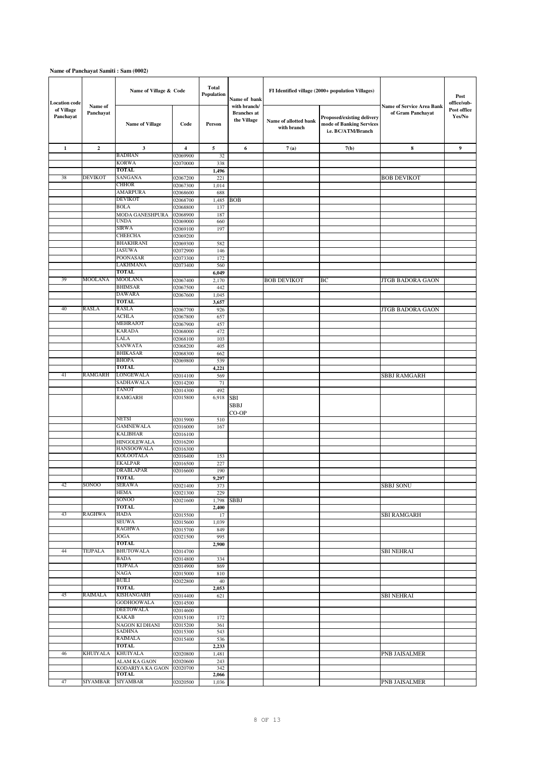| <b>Location code</b>    |                      | Name of Village & Code              |                      | <b>Total</b><br>Population | Name of bank                                      |                                      | FI Identified village (2000+ population Villages)                            |                                                       | Post<br>office/sub-   |
|-------------------------|----------------------|-------------------------------------|----------------------|----------------------------|---------------------------------------------------|--------------------------------------|------------------------------------------------------------------------------|-------------------------------------------------------|-----------------------|
| of Village<br>Panchayat | Name of<br>Panchayat | <b>Name of Village</b>              | Code                 | Person                     | with branch/<br><b>Branches</b> at<br>the Village | Name of allotted bank<br>with branch | Proposed/existing delivery<br>mode of Banking Services<br>i.e. BC/ATM/Branch | <b>Name of Service Area Bank</b><br>of Gram Panchayat | Post office<br>Yes/No |
| 1                       | $\overline{2}$       | 3                                   | 4                    | 5                          | 6                                                 | 7(a)                                 | 7(b)                                                                         | 8                                                     | 9                     |
|                         |                      | <b>BADHAN</b>                       | 02069900             | 32                         |                                                   |                                      |                                                                              |                                                       |                       |
|                         |                      | <b>KORWA</b><br>TOTAL               | 02070000             | 338                        |                                                   |                                      |                                                                              |                                                       |                       |
| 38                      | <b>DEVIKOT</b>       | SANGANA                             | 02067200             | 1,496<br>221               |                                                   |                                      |                                                                              | <b>BOB DEVIKOT</b>                                    |                       |
|                         |                      | <b>CHHOR</b>                        | 02067300             | 1,014                      |                                                   |                                      |                                                                              |                                                       |                       |
|                         |                      | <b>AMARPURA</b>                     | 02068600             | 688                        |                                                   |                                      |                                                                              |                                                       |                       |
|                         |                      | <b>DEVIKOT</b>                      | 02068700             | 1,485                      | <b>BOB</b>                                        |                                      |                                                                              |                                                       |                       |
|                         |                      | <b>BOLA</b><br>MODA GANESHPURA      | 02068800<br>02068900 | 137<br>187                 |                                                   |                                      |                                                                              |                                                       |                       |
|                         |                      | UNDA                                | 02069000             | 660                        |                                                   |                                      |                                                                              |                                                       |                       |
|                         |                      | SIRWA                               | 02069100             | 197                        |                                                   |                                      |                                                                              |                                                       |                       |
|                         |                      | <b>CHEECHA</b>                      | 02069200             |                            |                                                   |                                      |                                                                              |                                                       |                       |
|                         |                      | <b>BHAKHRANI</b>                    | 02069300             | 582                        |                                                   |                                      |                                                                              |                                                       |                       |
|                         |                      | <b>JASUWA</b><br><b>POONASAR</b>    | 02072900             | 146                        |                                                   |                                      |                                                                              |                                                       |                       |
|                         |                      | LAKHMANA                            | 02073300<br>02073400 | 172<br>560                 |                                                   |                                      |                                                                              |                                                       |                       |
|                         |                      | TOTAL                               |                      | 6,049                      |                                                   |                                      |                                                                              |                                                       |                       |
| 39                      | <b>MOOLANA</b>       | <b>MOOLANA</b>                      | 02067400             | 2,170                      |                                                   | <b>BOB DEVIKOT</b>                   | BC                                                                           | <b>JTGB BADORA GAON</b>                               |                       |
|                         |                      | <b>BHIMSAR</b>                      | 02067500             | 442                        |                                                   |                                      |                                                                              |                                                       |                       |
|                         |                      | <b>DAWARA</b><br>TOTAL              | 02067600             | 1,045<br>3,657             |                                                   |                                      |                                                                              |                                                       |                       |
| 40                      | RASLA                | <b>RASLA</b>                        | 02067700             | 926                        |                                                   |                                      |                                                                              | JTGB BADORA GAON                                      |                       |
|                         |                      | ACHLA                               | 02067800             | 657                        |                                                   |                                      |                                                                              |                                                       |                       |
|                         |                      | <b>MEHRAJOT</b>                     | 02067900             | 457                        |                                                   |                                      |                                                                              |                                                       |                       |
|                         |                      | <b>KARADA</b>                       | 02068000             | 472                        |                                                   |                                      |                                                                              |                                                       |                       |
|                         |                      | LALA<br>SANWATA                     | 02068100             | 103                        |                                                   |                                      |                                                                              |                                                       |                       |
|                         |                      | <b>BHIKASAR</b>                     | 02068200<br>02068300 | 405<br>662                 |                                                   |                                      |                                                                              |                                                       |                       |
|                         |                      | <b>BHOPA</b>                        | 02069800             | 539                        |                                                   |                                      |                                                                              |                                                       |                       |
|                         |                      | <b>TOTAL</b>                        |                      | 4,221                      |                                                   |                                      |                                                                              |                                                       |                       |
| 41                      | RAMGARH              | LONGEWALA                           | 02014100             | 569                        |                                                   |                                      |                                                                              | <b>SBBJ RAMGARH</b>                                   |                       |
|                         |                      | SADHAWALA<br><b>TANOT</b>           | 02014200             | 71<br>492                  |                                                   |                                      |                                                                              |                                                       |                       |
|                         |                      | <b>RAMGARH</b>                      | 02014300<br>02015800 | 6,918                      | <b>SBI</b>                                        |                                      |                                                                              |                                                       |                       |
|                         |                      |                                     |                      |                            | SBBJ<br>CO-OP                                     |                                      |                                                                              |                                                       |                       |
|                         |                      | <b>NETSI</b>                        | 02015900             | 510                        |                                                   |                                      |                                                                              |                                                       |                       |
|                         |                      | <b>GAMNEWALA</b><br><b>KALIBHAR</b> | 02016000             | 167                        |                                                   |                                      |                                                                              |                                                       |                       |
|                         |                      | HINGOLEWALA                         | 02016100<br>02016200 |                            |                                                   |                                      |                                                                              |                                                       |                       |
|                         |                      | <b>HANSOOWALA</b>                   | 02016300             |                            |                                                   |                                      |                                                                              |                                                       |                       |
|                         |                      | <b>KOLOOTALA</b>                    | 02016400             | 153                        |                                                   |                                      |                                                                              |                                                       |                       |
|                         |                      | <b>EKALPAR</b>                      | 02016500             | 227                        |                                                   |                                      |                                                                              |                                                       |                       |
|                         |                      | <b>DRABLAPAR</b><br>TOTAL           | 02016600             | 190<br>9,297               |                                                   |                                      |                                                                              |                                                       |                       |
| 42                      | SONOO                | <b>SERAWA</b>                       | 02021400             | 373                        |                                                   |                                      |                                                                              | <b>SBBJ SONU</b>                                      |                       |
|                         |                      | <b>HEMA</b>                         | 02021300             | 229                        |                                                   |                                      |                                                                              |                                                       |                       |
|                         |                      | <b>SONOO</b>                        | 02021600             | 1,798                      | <b>SBBJ</b>                                       |                                      |                                                                              |                                                       |                       |
|                         | <b>RAGHWA</b>        | TOTAL<br><b>HADA</b>                |                      | 2,400                      |                                                   |                                      |                                                                              |                                                       |                       |
| 43                      |                      | <b>SEUWA</b>                        | 02015500<br>02015600 | 17<br>1,039                |                                                   |                                      |                                                                              | <b>SBI RAMGARH</b>                                    |                       |
|                         |                      | <b>RAGHWA</b>                       | 02015700             | 849                        |                                                   |                                      |                                                                              |                                                       |                       |
|                         |                      | <b>JOGA</b>                         | 02021500             | 995                        |                                                   |                                      |                                                                              |                                                       |                       |
|                         |                      | TOTAL                               |                      | 2,900                      |                                                   |                                      |                                                                              |                                                       |                       |
| 44                      | TEJPALA              | <b>BHUTOWALA</b><br><b>BADA</b>     | 02014700<br>02014800 | 334                        |                                                   |                                      |                                                                              | <b>SBI NEHRAI</b>                                     |                       |
|                         |                      | TEJPALA                             | 02014900             | 869                        |                                                   |                                      |                                                                              |                                                       |                       |
|                         |                      | <b>NAGA</b>                         | 02015000             | 810                        |                                                   |                                      |                                                                              |                                                       |                       |
|                         |                      | <b>BUILI</b>                        | 02022800             | 40                         |                                                   |                                      |                                                                              |                                                       |                       |
| 45                      | <b>RAIMALA</b>       | <b>TOTAL</b><br><b>KISHANGARH</b>   |                      | 2,053                      |                                                   |                                      |                                                                              |                                                       |                       |
|                         |                      | <b>GODHOOWALA</b>                   | 02014400<br>02014500 | 621                        |                                                   |                                      |                                                                              | <b>SBI NEHRAI</b>                                     |                       |
|                         |                      | <b>DEETOWALA</b>                    | 02014600             |                            |                                                   |                                      |                                                                              |                                                       |                       |
|                         |                      | KAKAB                               | 02015100             | 172                        |                                                   |                                      |                                                                              |                                                       |                       |
|                         |                      | NAGON KI DHANI                      | 02015200             | 361                        |                                                   |                                      |                                                                              |                                                       |                       |
|                         |                      | <b>SADHNA</b><br><b>RAIMALA</b>     | 02015300<br>02015400 | 543<br>536                 |                                                   |                                      |                                                                              |                                                       |                       |
|                         |                      | TOTAL                               |                      | 2,233                      |                                                   |                                      |                                                                              |                                                       |                       |
| 46                      | <b>KHUIYALA</b>      | <b>KHUIYALA</b>                     | 02020800             | 1,481                      |                                                   |                                      |                                                                              | PNB JAISALMER                                         |                       |
|                         |                      | ALAM KA GAON                        | 02020600             | 243                        |                                                   |                                      |                                                                              |                                                       |                       |
|                         |                      | KODARIYA KA GAON<br><b>TOTAL</b>    | 02020700             | 342<br>2,066               |                                                   |                                      |                                                                              |                                                       |                       |
| 47                      | SIYAMBAR             | <b>SIYAMBAR</b>                     | 02020500             | 1,036                      |                                                   |                                      |                                                                              | PNB JAISALMER                                         |                       |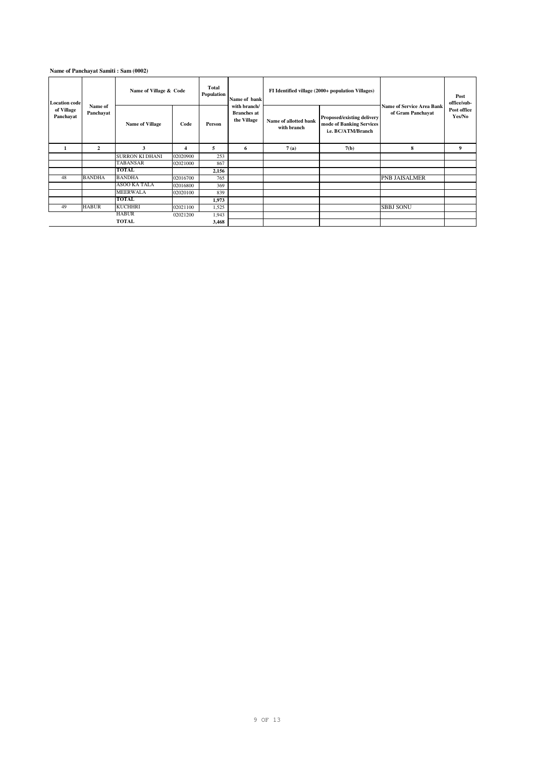| <b>Location code</b><br>Name of<br>of Village |                | Name of Village & Code |          | Total<br>Population | Name of bank                                      |                                      | FI Identified village (2000+ population Villages)                            | <b>Name of Service Area Bank</b> | Post<br>office/sub-   |
|-----------------------------------------------|----------------|------------------------|----------|---------------------|---------------------------------------------------|--------------------------------------|------------------------------------------------------------------------------|----------------------------------|-----------------------|
| Panchayat                                     | Panchayat      | <b>Name of Village</b> | Code     | Person              | with branch/<br><b>Branches at</b><br>the Village | Name of allotted bank<br>with branch | Proposed/existing delivery<br>mode of Banking Services<br>i.e. BC/ATM/Branch | of Gram Panchayat                | Post office<br>Yes/No |
|                                               | $\overline{2}$ | 3                      | 4        | 5                   | 6                                                 | 7(a)                                 | 7(b)                                                                         | 8                                | 9                     |
|                                               |                | <b>SURRON KI DHANI</b> | 02020900 | 253                 |                                                   |                                      |                                                                              |                                  |                       |
|                                               |                | <b>TABANSAR</b>        | 02021000 | 867                 |                                                   |                                      |                                                                              |                                  |                       |
|                                               |                | <b>TOTAL</b>           |          | 2,156               |                                                   |                                      |                                                                              |                                  |                       |
| 48                                            | <b>BANDHA</b>  | <b>BANDHA</b>          | 02016700 | 765                 |                                                   |                                      |                                                                              | <b>PNB JAISALMER</b>             |                       |
|                                               |                | ASOO KA TALA           | 02016800 | 369                 |                                                   |                                      |                                                                              |                                  |                       |
|                                               |                | <b>MEERWALA</b>        | 02020100 | 839                 |                                                   |                                      |                                                                              |                                  |                       |
|                                               |                | <b>TOTAL</b>           |          | 1,973               |                                                   |                                      |                                                                              |                                  |                       |
| 49                                            | <b>HABUR</b>   | <b>KUCHHRI</b>         | 02021100 | 1,525               |                                                   |                                      |                                                                              | <b>SBBJ SONU</b>                 |                       |
|                                               |                | <b>HABUR</b>           | 02021200 | 1,943               |                                                   |                                      |                                                                              |                                  |                       |
|                                               |                | <b>TOTAL</b>           |          | 3,468               |                                                   |                                      |                                                                              |                                  |                       |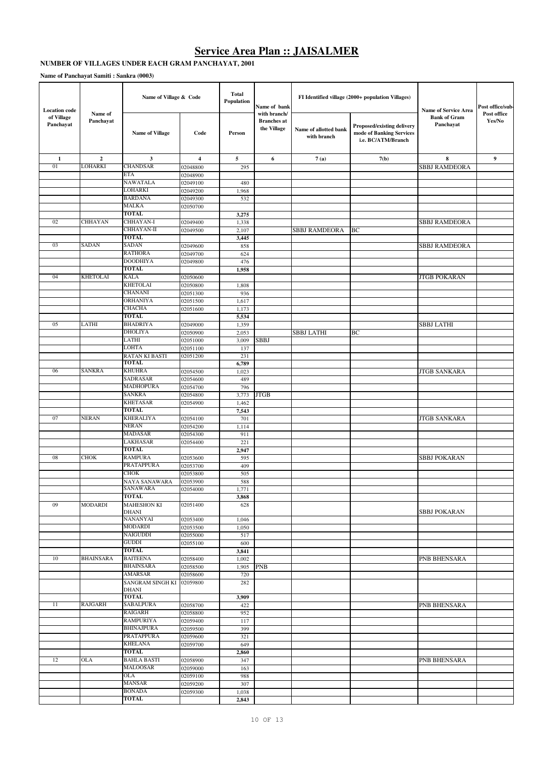## **Service Area Plan :: JAISALMER**

# **NUMBER OF VILLAGES UNDER EACH GRAM PANCHAYAT, 2001**

|                                                 |                      | Name of Village & Code                |                      | Total<br>Population | Name of bank                                      |                                      | FI Identified village (2000+ population Villages)                            |                                                                 | Post office/sub-      |
|-------------------------------------------------|----------------------|---------------------------------------|----------------------|---------------------|---------------------------------------------------|--------------------------------------|------------------------------------------------------------------------------|-----------------------------------------------------------------|-----------------------|
| <b>Location</b> code<br>of Village<br>Panchayat | Name of<br>Panchayat | <b>Name of Village</b>                | Code                 | Person              | with branch/<br><b>Branches</b> at<br>the Village | Name of allotted bank<br>with branch | Proposed/existing delivery<br>mode of Banking Services<br>i.e. BC/ATM/Branch | <b>Name of Service Area</b><br><b>Bank of Gram</b><br>Panchayat | Post office<br>Yes/No |
| 1                                               | $\mathbf{2}$         | 3                                     | 4                    | 5                   | 6                                                 | 7(a)                                 | 7(b)                                                                         | 8                                                               | 9                     |
| 01                                              | LOHARKI              | <b>CHANDSAR</b>                       | 02048800             | 295                 |                                                   |                                      |                                                                              | SBBJ RAMDEORA                                                   |                       |
|                                                 |                      | ETA                                   | 02048900             |                     |                                                   |                                      |                                                                              |                                                                 |                       |
|                                                 |                      | NAWATALA<br>LOHARKI                   | 02049100<br>02049200 | 480                 |                                                   |                                      |                                                                              |                                                                 |                       |
|                                                 |                      | <b>BARDANA</b>                        | 02049300             | 1,968<br>532        |                                                   |                                      |                                                                              |                                                                 |                       |
|                                                 |                      | MALKA                                 | 02050700             |                     |                                                   |                                      |                                                                              |                                                                 |                       |
|                                                 |                      | <b>TOTAL</b>                          |                      | 3,275               |                                                   |                                      |                                                                              |                                                                 |                       |
| 02                                              | CHHAYAN              | CHHAYAN-I                             | 02049400             | 1,338               |                                                   |                                      |                                                                              | SBBJ RAMDEORA                                                   |                       |
|                                                 |                      | CHHAYAN-II                            | 02049500             | 2,107               |                                                   | <b>SBBJ RAMDEORA</b>                 | BC                                                                           |                                                                 |                       |
|                                                 |                      | <b>TOTAL</b>                          |                      | 3,445               |                                                   |                                      |                                                                              |                                                                 |                       |
| 03                                              | SADAN                | <b>SADAN</b><br><b>RATHORA</b>        | 02049600<br>02049700 | 858<br>624          |                                                   |                                      |                                                                              | SBBJ RAMDEORA                                                   |                       |
|                                                 |                      | <b>DOODHIYA</b>                       | 02049800             | 476                 |                                                   |                                      |                                                                              |                                                                 |                       |
|                                                 |                      | TOTAL                                 |                      | 1,958               |                                                   |                                      |                                                                              |                                                                 |                       |
| 04                                              | <b>KHETOLAI</b>      | <b>KALA</b>                           | 02050600             |                     |                                                   |                                      |                                                                              | <b>JTGB POKARAN</b>                                             |                       |
|                                                 |                      | <b>KHETOLAI</b>                       | 02050800             | 1,808               |                                                   |                                      |                                                                              |                                                                 |                       |
|                                                 |                      | <b>CHANANI</b>                        | 02051300             | 936                 |                                                   |                                      |                                                                              |                                                                 |                       |
|                                                 |                      | ORHANIYA                              | 02051500             | 1,617               |                                                   |                                      |                                                                              |                                                                 |                       |
|                                                 |                      | <b>CHACHA</b>                         | 02051600             | 1,173               |                                                   |                                      |                                                                              |                                                                 |                       |
| 05                                              | LATHI                | <b>TOTAL</b><br><b>BHADRIYA</b>       |                      | 5,534               |                                                   |                                      |                                                                              |                                                                 |                       |
|                                                 |                      | DHOLIYA                               | 02049000<br>02050900 | 1,359<br>2,053      |                                                   | <b>SBBJ LATHI</b>                    | BC                                                                           | SBBJ LATHI                                                      |                       |
|                                                 |                      | LATHI                                 | 02051000             | 3,009               | SBBJ                                              |                                      |                                                                              |                                                                 |                       |
|                                                 |                      | LOHTA                                 | 02051100             | 137                 |                                                   |                                      |                                                                              |                                                                 |                       |
|                                                 |                      | <b>RATAN KI BASTI</b>                 | 02051200             | 231                 |                                                   |                                      |                                                                              |                                                                 |                       |
|                                                 |                      | <b>TOTAL</b>                          |                      | 6,789               |                                                   |                                      |                                                                              |                                                                 |                       |
| 06                                              | <b>SANKRA</b>        | <b>KHUHRA</b>                         | 02054500             | 1,023               |                                                   |                                      |                                                                              | <b>JTGB SANKARA</b>                                             |                       |
|                                                 |                      | SADRASAR<br><b>MADHOPURA</b>          | 02054600             | 489                 |                                                   |                                      |                                                                              |                                                                 |                       |
|                                                 |                      | <b>SANKRA</b>                         | 02054700<br>02054800 | 796<br>3,773        | <b>JTGB</b>                                       |                                      |                                                                              |                                                                 |                       |
|                                                 |                      | <b>KHETASAR</b>                       | 02054900             | 1,462               |                                                   |                                      |                                                                              |                                                                 |                       |
|                                                 |                      | <b>TOTAL</b>                          |                      | 7,543               |                                                   |                                      |                                                                              |                                                                 |                       |
| 07                                              | <b>NERAN</b>         | <b>KHERALIYA</b>                      | 02054100             | 701                 |                                                   |                                      |                                                                              | <b>JTGB SANKARA</b>                                             |                       |
|                                                 |                      | NERAN                                 | 02054200             | 1,114               |                                                   |                                      |                                                                              |                                                                 |                       |
|                                                 |                      | <b>MADASAR</b>                        | 02054300             | 911                 |                                                   |                                      |                                                                              |                                                                 |                       |
|                                                 |                      | LAKHASAR<br>TOTAL                     | 02054400             | 221                 |                                                   |                                      |                                                                              |                                                                 |                       |
| 08                                              | <b>CHOK</b>          | <b>RAMPURA</b>                        | 02053600             | 2,947<br>595        |                                                   |                                      |                                                                              | <b>SBBJ POKARAN</b>                                             |                       |
|                                                 |                      | PRATAPPURA                            | 02053700             | 409                 |                                                   |                                      |                                                                              |                                                                 |                       |
|                                                 |                      | <b>CHOK</b>                           | 02053800             | 505                 |                                                   |                                      |                                                                              |                                                                 |                       |
|                                                 |                      | NAYA SANAWARA                         | 02053900             | 588                 |                                                   |                                      |                                                                              |                                                                 |                       |
|                                                 |                      | SANAWARA                              | 02054000             | 1,771               |                                                   |                                      |                                                                              |                                                                 |                       |
|                                                 |                      | <b>TOTAL</b>                          |                      | 3,868               |                                                   |                                      |                                                                              |                                                                 |                       |
| 09                                              | MODARDI              | <b>MAHESHON KI</b><br>DHANI           | 02051400             | 628                 |                                                   |                                      |                                                                              | <b>SBBJ POKARAN</b>                                             |                       |
|                                                 |                      | NANANYAI                              | 02053400             | 1,046               |                                                   |                                      |                                                                              |                                                                 |                       |
|                                                 |                      | <b>MODARDI</b>                        | 02053500             | 1,050               |                                                   |                                      |                                                                              |                                                                 |                       |
|                                                 |                      | NAIGUDDI                              | 02055000             | 517                 |                                                   |                                      |                                                                              |                                                                 |                       |
|                                                 |                      | GUDDI                                 | 02055100             | 600                 |                                                   |                                      |                                                                              |                                                                 |                       |
|                                                 | <b>BHAINSARA</b>     | <b>TOTAL</b>                          |                      | 3,841               |                                                   |                                      |                                                                              |                                                                 |                       |
| 10                                              |                      | <b>BAITEENA</b><br><b>BHAINSARA</b>   | 02058400             | 1,002               |                                                   |                                      |                                                                              | PNB BHENSARA                                                    |                       |
|                                                 |                      | <b>AMARSAR</b>                        | 02058500<br>02058600 | 1,905<br>720        | <b>PNB</b>                                        |                                      |                                                                              |                                                                 |                       |
|                                                 |                      | SANGRAM SINGH KI                      | 02059800             | 282                 |                                                   |                                      |                                                                              |                                                                 |                       |
|                                                 |                      | DHANI                                 |                      |                     |                                                   |                                      |                                                                              |                                                                 |                       |
|                                                 |                      | TOTAL                                 |                      | 3,909               |                                                   |                                      |                                                                              |                                                                 |                       |
| 11                                              | <b>RAJGARH</b>       | <b>SABALPURA</b>                      | 02058700             | 422                 |                                                   |                                      |                                                                              | PNB BHENSARA                                                    |                       |
|                                                 |                      | RAIGARH                               | 02058800             | 952                 |                                                   |                                      |                                                                              |                                                                 |                       |
|                                                 |                      | <b>RAMPURIYA</b><br><b>BHINAJPURA</b> | 02059400             | 117<br>399          |                                                   |                                      |                                                                              |                                                                 |                       |
|                                                 |                      | PRATAPPURA                            | 02059500<br>02059600 | 321                 |                                                   |                                      |                                                                              |                                                                 |                       |
|                                                 |                      | <b>KHELANA</b>                        | 02059700             | 649                 |                                                   |                                      |                                                                              |                                                                 |                       |
|                                                 |                      | TOTAL                                 |                      | 2,860               |                                                   |                                      |                                                                              |                                                                 |                       |
| 12                                              | OLA                  | <b>BAHLA BASTI</b>                    | 02058900             | 347                 |                                                   |                                      |                                                                              | PNB BHENSARA                                                    |                       |
|                                                 |                      | MALOOSAR                              | 02059000             | 163                 |                                                   |                                      |                                                                              |                                                                 |                       |
|                                                 |                      | <b>OLA</b>                            | 02059100             | 988                 |                                                   |                                      |                                                                              |                                                                 |                       |
|                                                 |                      | <b>MANSAR</b>                         | 02059200             | 307                 |                                                   |                                      |                                                                              |                                                                 |                       |
|                                                 |                      | <b>BONADA</b><br>TOTAL                | 02059300             | 1,038               |                                                   |                                      |                                                                              |                                                                 |                       |
|                                                 |                      |                                       |                      | 2,843               |                                                   |                                      |                                                                              |                                                                 |                       |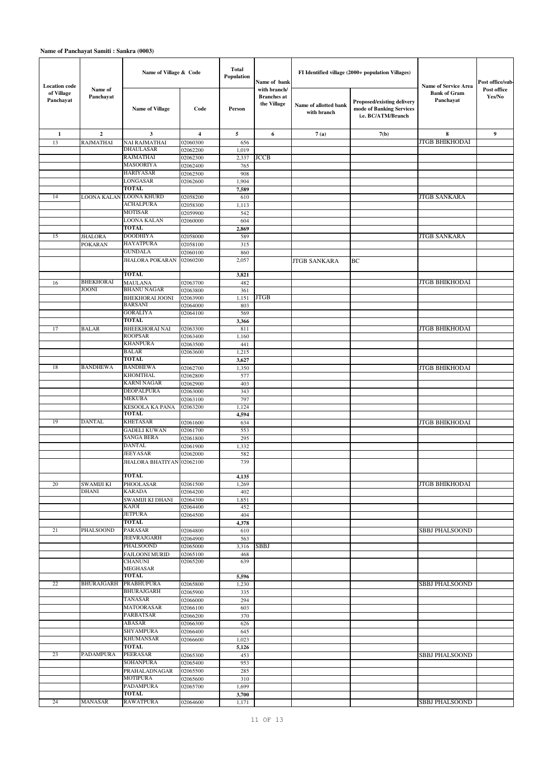| <b>Location</b> code    |                            | Name of Village & Code                 |                      | Total<br>Population | Name of bank                                      |                                      | FI Identified village (2000+ population Villages)                            | Name of Service Area             | Post office/sub-      |
|-------------------------|----------------------------|----------------------------------------|----------------------|---------------------|---------------------------------------------------|--------------------------------------|------------------------------------------------------------------------------|----------------------------------|-----------------------|
| of Village<br>Panchayat | Name of<br>Panchayat       | <b>Name of Village</b>                 | Code                 | Person              | with branch/<br><b>Branches</b> at<br>the Village | Name of allotted bank<br>with branch | Proposed/existing delivery<br>mode of Banking Services<br>i.e. BC/ATM/Branch | <b>Bank of Gram</b><br>Panchayat | Post office<br>Yes/No |
| 1                       | $\mathbf{2}$               | 3                                      | $\overline{4}$       | 5                   | 6                                                 | 7(a)                                 | 7(b)                                                                         | 8                                | 9                     |
| 13                      | RAJMATHAI                  | <b>NAI RAJMATHAI</b>                   | 02060300             | 656                 |                                                   |                                      |                                                                              | <b>JTGB BHIKHODAI</b>            |                       |
|                         |                            | <b>DHAULASAR</b>                       | 02062200             | 1,019               |                                                   |                                      |                                                                              |                                  |                       |
|                         |                            | <b>RAJMATHAI</b><br><b>MASOORIYA</b>   | 02062300             | 2,337               | <b>JCCB</b>                                       |                                      |                                                                              |                                  |                       |
|                         |                            | <b>HARIYASAR</b>                       | 02062400             | 765                 |                                                   |                                      |                                                                              |                                  |                       |
|                         |                            | LONGASAR                               | 02062500<br>02062600 | 908<br>1,904        |                                                   |                                      |                                                                              |                                  |                       |
|                         |                            | TOTAL                                  |                      | 7,589               |                                                   |                                      |                                                                              |                                  |                       |
| 14                      | LOONA KALAN                | <b>LOONA KHURD</b>                     | 02058200             | 610                 |                                                   |                                      |                                                                              | <b>JTGB SANKARA</b>              |                       |
|                         |                            | <b>ACHALPURA</b>                       | 02058300             | 1,113               |                                                   |                                      |                                                                              |                                  |                       |
|                         |                            | <b>MOTISAR</b>                         | 02059900             | 542                 |                                                   |                                      |                                                                              |                                  |                       |
|                         |                            | LOONA KALAN                            | 02060000             | 604                 |                                                   |                                      |                                                                              |                                  |                       |
|                         |                            | <b>TOTAL</b>                           |                      | 2,869               |                                                   |                                      |                                                                              |                                  |                       |
| 15                      | <b>JHALORA</b>             | <b>DOODHIYA</b>                        | 02058000             | 589                 |                                                   |                                      |                                                                              | <b>JTGB SANKARA</b>              |                       |
|                         | <b>POKARAN</b>             | <b>HAYATPURA</b>                       | 02058100             | 315                 |                                                   |                                      |                                                                              |                                  |                       |
|                         |                            | <b>GUNDALA</b>                         | 02060100             | 860                 |                                                   |                                      |                                                                              |                                  |                       |
|                         |                            | <b>JHALORA POKARAN</b><br><b>TOTAL</b> | 02060200             | 2,057               |                                                   | <b>JTGB SANKARA</b>                  | BC                                                                           |                                  |                       |
| 16                      | <b>BHEKHORAI</b>           | <b>MAULANA</b>                         | 02063700             | 3,821<br>482        |                                                   |                                      |                                                                              | <b>JTGB BHIKHODAI</b>            |                       |
|                         | <b>JOONI</b>               | <b>BHANU NAGAR</b>                     | 02063800             | 361                 |                                                   |                                      |                                                                              |                                  |                       |
|                         |                            | <b>BHEKHORAI JOONI</b>                 | 02063900             | 1,151               | <b>JTGB</b>                                       |                                      |                                                                              |                                  |                       |
|                         |                            | <b>BARSANI</b>                         | 02064000             | 803                 |                                                   |                                      |                                                                              |                                  |                       |
|                         |                            | <b>GORALIYA</b>                        | 02064100             | 569                 |                                                   |                                      |                                                                              |                                  |                       |
|                         |                            | <b>TOTAL</b>                           |                      | 3,366               |                                                   |                                      |                                                                              |                                  |                       |
| 17                      | <b>BALAR</b>               | <b>BHEEKHORAI NAI</b>                  | 02063300             | 811                 |                                                   |                                      |                                                                              | <b>JTGB BHIKHODAI</b>            |                       |
|                         |                            | <b>ROOPSAR</b><br><b>KHANPURA</b>      | 02063400             | 1,160<br>441        |                                                   |                                      |                                                                              |                                  |                       |
|                         |                            | <b>BALAR</b>                           | 02063500<br>02063600 | 1,215               |                                                   |                                      |                                                                              |                                  |                       |
|                         |                            | <b>TOTAL</b>                           |                      | 3,627               |                                                   |                                      |                                                                              |                                  |                       |
| 18                      | <b>BANDHEWA</b>            | <b>BANDHEWA</b>                        | 02062700             | 1,350               |                                                   |                                      |                                                                              | <b>JTGB BHIKHODAI</b>            |                       |
|                         |                            | <b>KHOMTHAL</b>                        | 02062800             | 577                 |                                                   |                                      |                                                                              |                                  |                       |
|                         |                            | <b>KARNI NAGAR</b>                     | 02062900             | 403                 |                                                   |                                      |                                                                              |                                  |                       |
|                         |                            | <b>DEOPALPURA</b>                      | 02063000             | 343                 |                                                   |                                      |                                                                              |                                  |                       |
|                         |                            | <b>MEKUBA</b>                          | 02063100             | 797                 |                                                   |                                      |                                                                              |                                  |                       |
|                         |                            | <b>KESOOLA KA PANA</b>                 | 02063200             | 1,124               |                                                   |                                      |                                                                              |                                  |                       |
| 19                      | <b>DANTAL</b>              | <b>TOTAL</b><br><b>KHETASAR</b>        |                      | 4,594               |                                                   |                                      |                                                                              |                                  |                       |
|                         |                            | <b>GADELI KUWAN</b>                    | 02061600<br>02061700 | 634<br>553          |                                                   |                                      |                                                                              | <b>JTGB BHIKHODAI</b>            |                       |
|                         |                            | <b>SANGA BERA</b>                      | 02061800             | 295                 |                                                   |                                      |                                                                              |                                  |                       |
|                         |                            | <b>DANTAL</b>                          | 02061900             | 1,332               |                                                   |                                      |                                                                              |                                  |                       |
|                         |                            | <b>JEEYASAR</b>                        | 02062000             | 582                 |                                                   |                                      |                                                                              |                                  |                       |
|                         |                            | JHALORA BHATIYAN 02062100              |                      | 739                 |                                                   |                                      |                                                                              |                                  |                       |
|                         |                            |                                        |                      |                     |                                                   |                                      |                                                                              |                                  |                       |
|                         |                            | <b>TOTAL</b>                           |                      | 4,135               |                                                   |                                      |                                                                              |                                  |                       |
| 20                      | SWAMIJI KI<br><b>DHANI</b> | PHOOLASAR<br><b>KARADA</b>             | 02061500<br>02064200 | 1,269<br>402        |                                                   |                                      |                                                                              | <b>JTGB BHIKHODAI</b>            |                       |
|                         |                            | SWAMIJI KI DHANI                       | 02064300             | 1,851               |                                                   |                                      |                                                                              |                                  |                       |
|                         |                            | KAJOI                                  | 02064400             | 452                 |                                                   |                                      |                                                                              |                                  |                       |
|                         |                            | <b>JETPURA</b>                         | 02064500             | 404                 |                                                   |                                      |                                                                              |                                  |                       |
|                         |                            | <b>TOTAL</b>                           |                      | 4,378               |                                                   |                                      |                                                                              |                                  |                       |
| 21                      | <b>PHALSOOND</b>           | PARASAR                                | 02064800             | 610                 |                                                   |                                      |                                                                              | <b>SBBJ PHALSOOND</b>            |                       |
|                         |                            | <b>JEEVRAJGARH</b><br><b>PHALSOOND</b> | 02064900             | 563                 |                                                   |                                      |                                                                              |                                  |                       |
|                         |                            | <b>FAJLOONI MURID</b>                  | 02065000<br>02065100 | 3,316<br>468        | SBBJ                                              |                                      |                                                                              |                                  |                       |
|                         |                            | <b>CHANUNI</b><br><b>MEGHASAR</b>      | 02065200             | 639                 |                                                   |                                      |                                                                              |                                  |                       |
|                         |                            | <b>TOTAL</b>                           |                      | 5,596               |                                                   |                                      |                                                                              |                                  |                       |
| 22                      | <b>BHURAJGARH</b>          | <b>PRABHUPURA</b>                      | 02065800             | 1,230               |                                                   |                                      |                                                                              | <b>SBBJ PHALSOOND</b>            |                       |
|                         |                            | <b>BHURAJGARH</b>                      | 02065900             | 335                 |                                                   |                                      |                                                                              |                                  |                       |
|                         |                            | TANASAR<br>MATOORASAR                  | 02066000             | 294                 |                                                   |                                      |                                                                              |                                  |                       |
|                         |                            | <b>PARBATSAR</b>                       | 02066100<br>02066200 | 603<br>370          |                                                   |                                      |                                                                              |                                  |                       |
|                         |                            | ABASAR                                 | 02066300             | 626                 |                                                   |                                      |                                                                              |                                  |                       |
|                         |                            | <b>SHYAMPURA</b>                       | 02066400             | 645                 |                                                   |                                      |                                                                              |                                  |                       |
|                         |                            | <b>KHUMANSAR</b>                       | 02066600             | 1,023               |                                                   |                                      |                                                                              |                                  |                       |
|                         |                            | <b>TOTAL</b>                           |                      | 5,126               |                                                   |                                      |                                                                              |                                  |                       |
| 23                      | PADAMPURA                  | PEERASAR                               | 02065300             | 453                 |                                                   |                                      |                                                                              | SBBJ PHALSOOND                   |                       |
|                         |                            | <b>SOHANPURA</b>                       | 02065400             | 953                 |                                                   |                                      |                                                                              |                                  |                       |
|                         |                            | PRAHALADNAGAR                          | 02065500             | 285                 |                                                   |                                      |                                                                              |                                  |                       |
|                         |                            | <b>MOTIPURA</b><br><b>PADAMPURA</b>    | 02065600             | 310                 |                                                   |                                      |                                                                              |                                  |                       |
|                         |                            | TOTAL                                  | 02065700             | 1,699<br>3,700      |                                                   |                                      |                                                                              |                                  |                       |
| 24                      | MANASAR                    | <b>RAWATPURA</b>                       | 02064600             | 1,171               |                                                   |                                      |                                                                              | SBBJ PHALSOOND                   |                       |
|                         |                            |                                        |                      |                     |                                                   |                                      |                                                                              |                                  |                       |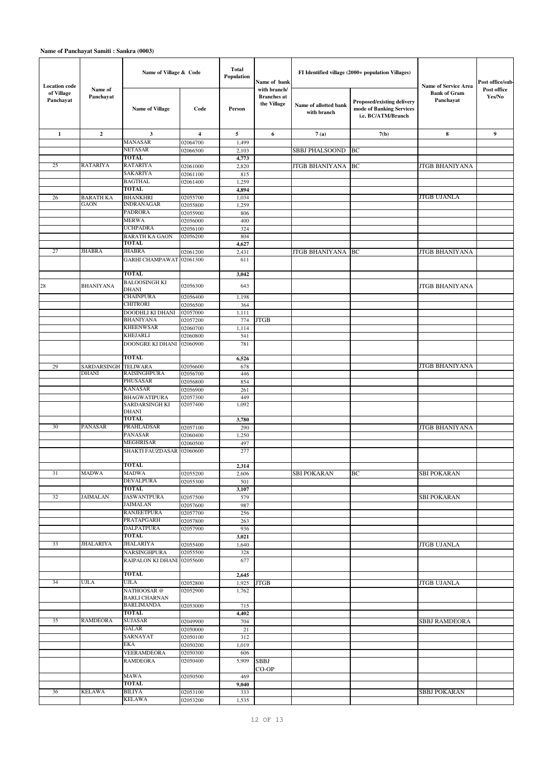|                                                 |                      | Name of Village & Code                     |                      | Total<br>Population | Name of bank                                      |                                      | FI Identified village (2000+ population Villages)                            |                                                          | Post office/sub-      |
|-------------------------------------------------|----------------------|--------------------------------------------|----------------------|---------------------|---------------------------------------------------|--------------------------------------|------------------------------------------------------------------------------|----------------------------------------------------------|-----------------------|
| <b>Location</b> code<br>of Village<br>Panchayat | Name of<br>Panchayat | <b>Name of Village</b>                     | Code                 | Person              | with branch/<br><b>Branches</b> at<br>the Village | Name of allotted bank<br>with branch | Proposed/existing delivery<br>mode of Banking Services<br>i.e. BC/ATM/Branch | Name of Service Area<br><b>Bank of Gram</b><br>Panchayat | Post office<br>Yes/No |
| $\mathbf{1}$                                    | $\mathbf{2}$         | 3                                          | $\overline{4}$       | 5                   | 6                                                 | 7(a)                                 | 7(b)                                                                         | 8                                                        | 9                     |
|                                                 |                      | MANASAR                                    | 02064700             | 1,499               |                                                   |                                      |                                                                              |                                                          |                       |
|                                                 |                      | NETASAR<br><b>TOTAL</b>                    | 02066500             | 2,103               |                                                   | <b>SBBJ PHALSOOND</b>                | BC                                                                           |                                                          |                       |
| 25                                              | <b>RATARIYA</b>      | <b>RATARIYA</b>                            | 02061000             | 4,773<br>2,820      |                                                   | <b>JTGB BHANIYANA  BC</b>            |                                                                              | <b>JTGB BHANIYANA</b>                                    |                       |
|                                                 |                      | SAKARIYA                                   | 02061100             | 815                 |                                                   |                                      |                                                                              |                                                          |                       |
|                                                 |                      | <b>BAGTHAL</b>                             | 02061400             | 1,259               |                                                   |                                      |                                                                              |                                                          |                       |
|                                                 |                      | <b>TOTAL</b>                               |                      | 4,894               |                                                   |                                      |                                                                              |                                                          |                       |
| 26                                              | <b>BARATH KA</b>     | <b>BHANKHRI</b>                            | 02055700             | 1,034               |                                                   |                                      |                                                                              | <b>JTGB UJANLA</b>                                       |                       |
|                                                 | <b>GAON</b>          | <b>INDRANAGAR</b><br><b>PADRORA</b>        | 02055800<br>02055900 | 1,259<br>806        |                                                   |                                      |                                                                              |                                                          |                       |
|                                                 |                      | <b>MERWA</b>                               | 02056000             | 400                 |                                                   |                                      |                                                                              |                                                          |                       |
|                                                 |                      | <b>UCHPADRA</b>                            | 02056100             | 324                 |                                                   |                                      |                                                                              |                                                          |                       |
|                                                 |                      | <b>BARATH KA GAON</b>                      | 02056200             | 804                 |                                                   |                                      |                                                                              |                                                          |                       |
|                                                 |                      | <b>TOTAL</b>                               |                      | 4,627               |                                                   |                                      |                                                                              |                                                          |                       |
| 27                                              | <b>JHABRA</b>        | <b>JHABRA</b>                              | 02061200             | 2,431               |                                                   | JTGB BHANIYANA BC                    |                                                                              | <b>JTGB BHANIYANA</b>                                    |                       |
|                                                 |                      | <b>GARHI CHAMPAWAT</b><br><b>TOTAL</b>     | 02061300             | 611<br>3,042        |                                                   |                                      |                                                                              |                                                          |                       |
|                                                 |                      | <b>BALOOSINGH KI</b>                       |                      |                     |                                                   |                                      |                                                                              |                                                          |                       |
| 28                                              | <b>BHANIYANA</b>     | DHANI                                      | 02056300             | 643                 |                                                   |                                      |                                                                              | JTGB BHANIYANA                                           |                       |
|                                                 |                      | <b>CHAINPURA</b>                           | 02056400             | 1,198               |                                                   |                                      |                                                                              |                                                          |                       |
|                                                 |                      | <b>CHITRORI</b>                            | 02056500<br>02057000 | 364                 |                                                   |                                      |                                                                              |                                                          |                       |
|                                                 |                      | DOODHLI KI DHANI<br><b>BHANIYANA</b>       | 02057200             | 1,111<br>774        | <b>JTGB</b>                                       |                                      |                                                                              |                                                          |                       |
|                                                 |                      | <b>KHEENWSAR</b>                           | 02060700             | 1,114               |                                                   |                                      |                                                                              |                                                          |                       |
|                                                 |                      | <b>KHEJARLI</b>                            | 02060800             | 541                 |                                                   |                                      |                                                                              |                                                          |                       |
|                                                 |                      | DOONGRE KI DHANI 02060900                  |                      | 781                 |                                                   |                                      |                                                                              |                                                          |                       |
| 29                                              | SARDARSINGH TELIWARA | <b>TOTAL</b>                               | 02056600             | 6,526<br>678        |                                                   |                                      |                                                                              | JTGB BHANIYANA                                           |                       |
|                                                 | <b>DHANI</b>         | <b>RAISINGHPURA</b>                        | 02056700             | 446                 |                                                   |                                      |                                                                              |                                                          |                       |
|                                                 |                      | <b>PHUSASAR</b>                            | 02056800             | 854                 |                                                   |                                      |                                                                              |                                                          |                       |
|                                                 |                      | <b>KANASAR</b>                             | 02056900             | 261                 |                                                   |                                      |                                                                              |                                                          |                       |
|                                                 |                      | <b>BHAGWATIPURA</b>                        | 02057300             | 449                 |                                                   |                                      |                                                                              |                                                          |                       |
|                                                 |                      | SARDARSINGH KI<br><b>DHANI</b><br>TOTAL    | 02057400             | 1,092<br>3,780      |                                                   |                                      |                                                                              |                                                          |                       |
| 30                                              | <b>PANASAR</b>       | PRAHLADSAR                                 | 02057100             | 290                 |                                                   |                                      |                                                                              | <b>JTGB BHANIYANA</b>                                    |                       |
|                                                 |                      | <b>PANASAR</b>                             | 02060400             | 1,250               |                                                   |                                      |                                                                              |                                                          |                       |
|                                                 |                      | MEGHRISAR                                  | 02060500             | 497                 |                                                   |                                      |                                                                              |                                                          |                       |
|                                                 |                      | SHAKTI FAUZDASAR<br><b>TOTAL</b>           | 02060600             | 277                 |                                                   |                                      |                                                                              |                                                          |                       |
| 31                                              | <b>MADWA</b>         | <b>MADWA</b>                               | 02055200             | 2,314<br>2,606      |                                                   | <b>SBI POKARAN</b>                   | BC                                                                           | <b>SBI POKARAN</b>                                       |                       |
|                                                 |                      | <b>DEVALPURA</b>                           | 02055300             | 501                 |                                                   |                                      |                                                                              |                                                          |                       |
|                                                 |                      | <b>TOTAL</b>                               |                      | 3,107               |                                                   |                                      |                                                                              |                                                          |                       |
| 32                                              | <b>JAIMALAN</b>      | <b>JASWANTPURA</b>                         | 02057500             | 579                 |                                                   |                                      |                                                                              | <b>SBI POKARAN</b>                                       |                       |
|                                                 |                      | <b>JAIMALAN</b><br><b>RANJEETPURA</b>      | 02057600             | 987                 |                                                   |                                      |                                                                              |                                                          |                       |
|                                                 |                      | PRATAPGARH                                 | 02057700<br>02057800 | 256<br>263          |                                                   |                                      |                                                                              |                                                          |                       |
|                                                 |                      | <b>DALPATPURA</b>                          | 02057900             | 936                 |                                                   |                                      |                                                                              |                                                          |                       |
|                                                 |                      | TOTAL                                      |                      | 3,021               |                                                   |                                      |                                                                              |                                                          |                       |
| 33                                              | <b>JHALARIYA</b>     | <b>JHALARIYA</b>                           | 02055400             | 1,640               |                                                   |                                      |                                                                              | <b>JTGB UJANLA</b>                                       |                       |
|                                                 |                      | NARSINGHPURA<br>RAIPALON KI DHANI 02055600 | 02055500             | 328<br>677          |                                                   |                                      |                                                                              |                                                          |                       |
|                                                 |                      | <b>TOTAL</b>                               |                      | 2,645               |                                                   |                                      |                                                                              |                                                          |                       |
| 34                                              | <b>UJLA</b>          | <b>UJLA</b>                                | 02052800             | 1,925               | <b>JTGB</b>                                       |                                      |                                                                              | <b>JTGB UJANLA</b>                                       |                       |
|                                                 |                      | NATHOOSAR @                                | 02052900             | 1,762               |                                                   |                                      |                                                                              |                                                          |                       |
|                                                 |                      | <b>BARLI CHARNAN</b><br><b>BARLIMANDA</b>  | 02053000             | 715                 |                                                   |                                      |                                                                              |                                                          |                       |
|                                                 |                      | TOTAL                                      |                      | 4,402               |                                                   |                                      |                                                                              |                                                          |                       |
| 35                                              | <b>RAMDEORA</b>      | <b>SUJASAR</b>                             | 02049900             | 704                 |                                                   |                                      |                                                                              | SBBJ RAMDEORA                                            |                       |
|                                                 |                      | <b>GALAR</b>                               | 02050000             | 21                  |                                                   |                                      |                                                                              |                                                          |                       |
|                                                 |                      | SARNAYAT                                   | 02050100             | 312                 |                                                   |                                      |                                                                              |                                                          |                       |
|                                                 |                      | EKA                                        | 02050200             | 1,019               |                                                   |                                      |                                                                              |                                                          |                       |
|                                                 |                      | VEERAMDEORA<br><b>RAMDEORA</b>             | 02050300<br>02050400 | 606<br>5,909        | <b>SBBJ</b>                                       |                                      |                                                                              |                                                          |                       |
|                                                 |                      | <b>MAWA</b>                                | 02050500             | 469                 | CO-OP                                             |                                      |                                                                              |                                                          |                       |
|                                                 |                      | TOTAL                                      |                      | 9,040               |                                                   |                                      |                                                                              |                                                          |                       |
| 36                                              | <b>KELAWA</b>        | <b>BILIYA</b>                              | 02053100             | 333                 |                                                   |                                      |                                                                              | <b>SBBJ POKARAN</b>                                      |                       |
|                                                 |                      | <b>KELAWA</b>                              | 02053200             | 1,535               |                                                   |                                      |                                                                              |                                                          |                       |